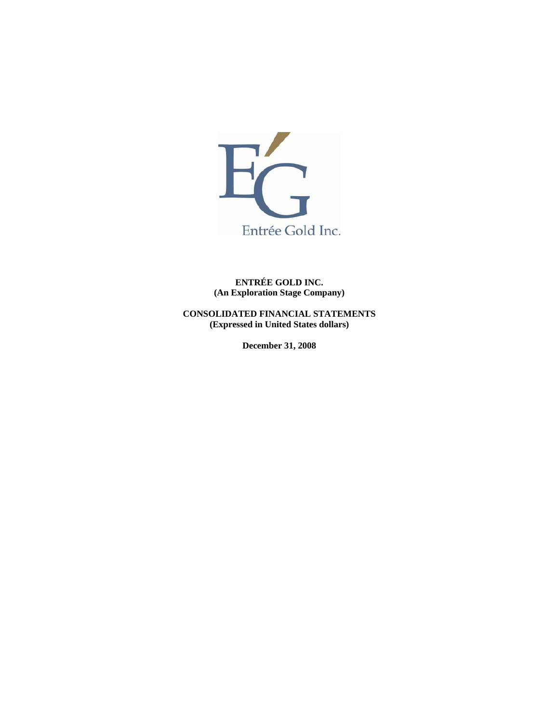

**ENTRÉE GOLD INC. (An Exploration Stage Company)** 

**CONSOLIDATED FINANCIAL STATEMENTS (Expressed in United States dollars)** 

**December 31, 2008**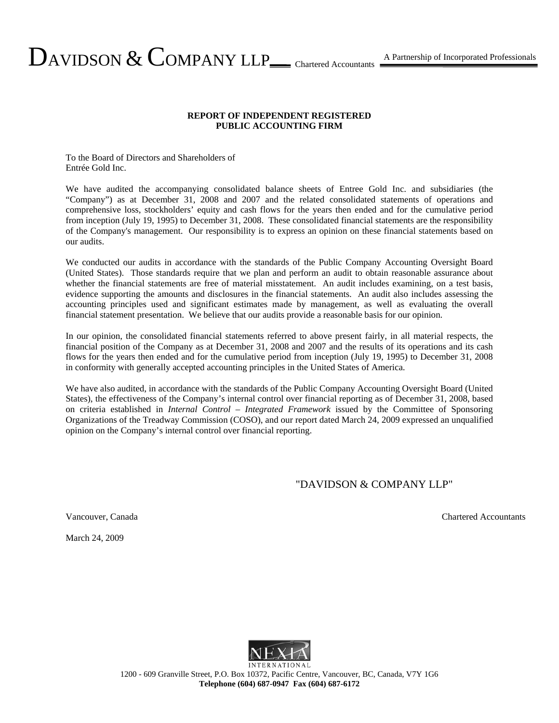# DAVIDSON & COMPANY LLP\_ Chartered Accountants A Partnership of Incorporated Professionals

# **REPORT OF INDEPENDENT REGISTERED PUBLIC ACCOUNTING FIRM**

To the Board of Directors and Shareholders of Entrée Gold Inc.

We have audited the accompanying consolidated balance sheets of Entree Gold Inc. and subsidiaries (the "Company") as at December 31, 2008 and 2007 and the related consolidated statements of operations and comprehensive loss, stockholders' equity and cash flows for the years then ended and for the cumulative period from inception (July 19, 1995) to December 31, 2008. These consolidated financial statements are the responsibility of the Company's management. Our responsibility is to express an opinion on these financial statements based on our audits.

We conducted our audits in accordance with the standards of the Public Company Accounting Oversight Board (United States). Those standards require that we plan and perform an audit to obtain reasonable assurance about whether the financial statements are free of material misstatement. An audit includes examining, on a test basis, evidence supporting the amounts and disclosures in the financial statements. An audit also includes assessing the accounting principles used and significant estimates made by management, as well as evaluating the overall financial statement presentation. We believe that our audits provide a reasonable basis for our opinion.

In our opinion, the consolidated financial statements referred to above present fairly, in all material respects, the financial position of the Company as at December 31, 2008 and 2007 and the results of its operations and its cash flows for the years then ended and for the cumulative period from inception (July 19, 1995) to December 31, 2008 in conformity with generally accepted accounting principles in the United States of America.

We have also audited, in accordance with the standards of the Public Company Accounting Oversight Board (United States), the effectiveness of the Company's internal control over financial reporting as of December 31, 2008, based on criteria established in *Internal Control – Integrated Framework* issued by the Committee of Sponsoring Organizations of the Treadway Commission (COSO), and our report dated March 24, 2009 expressed an unqualified opinion on the Company's internal control over financial reporting.

# "DAVIDSON & COMPANY LLP"

March 24, 2009

Vancouver, Canada Chartered Accountants



1200 - 609 Granville Street, P.O. Box 10372, Pacific Centre, Vancouver, BC, Canada, V7Y 1G6 **Telephone (604) 687-0947 Fax (604) 687-6172**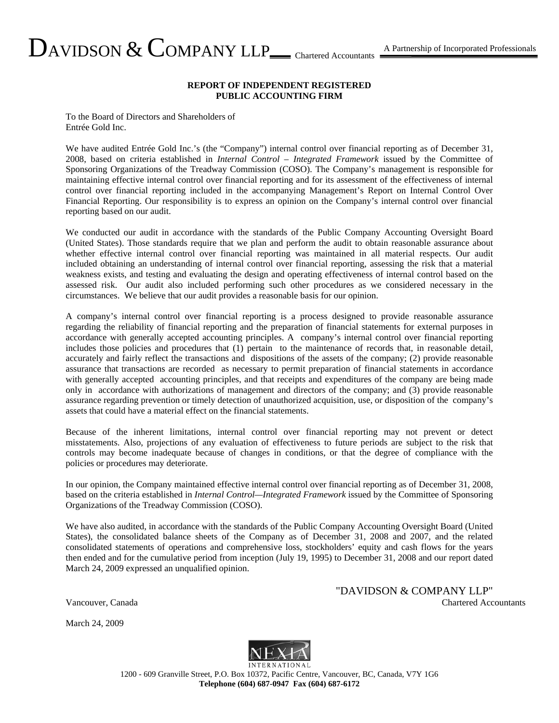# **REPORT OF INDEPENDENT REGISTERED PUBLIC ACCOUNTING FIRM**

To the Board of Directors and Shareholders of Entrée Gold Inc.

We have audited Entrée Gold Inc.'s (the "Company") internal control over financial reporting as of December 31, 2008, based on criteria established in *Internal Control – Integrated Framework* issued by the Committee of Sponsoring Organizations of the Treadway Commission (COSO). The Company's management is responsible for maintaining effective internal control over financial reporting and for its assessment of the effectiveness of internal control over financial reporting included in the accompanying Management's Report on Internal Control Over Financial Reporting. Our responsibility is to express an opinion on the Company's internal control over financial reporting based on our audit.

We conducted our audit in accordance with the standards of the Public Company Accounting Oversight Board (United States). Those standards require that we plan and perform the audit to obtain reasonable assurance about whether effective internal control over financial reporting was maintained in all material respects. Our audit included obtaining an understanding of internal control over financial reporting, assessing the risk that a material weakness exists, and testing and evaluating the design and operating effectiveness of internal control based on the assessed risk. Our audit also included performing such other procedures as we considered necessary in the circumstances. We believe that our audit provides a reasonable basis for our opinion.

A company's internal control over financial reporting is a process designed to provide reasonable assurance regarding the reliability of financial reporting and the preparation of financial statements for external purposes in accordance with generally accepted accounting principles. A company's internal control over financial reporting includes those policies and procedures that (1) pertain to the maintenance of records that, in reasonable detail, accurately and fairly reflect the transactions and dispositions of the assets of the company; (2) provide reasonable assurance that transactions are recorded as necessary to permit preparation of financial statements in accordance with generally accepted accounting principles, and that receipts and expenditures of the company are being made only in accordance with authorizations of management and directors of the company; and (3) provide reasonable assurance regarding prevention or timely detection of unauthorized acquisition, use, or disposition of the company's assets that could have a material effect on the financial statements.

Because of the inherent limitations, internal control over financial reporting may not prevent or detect misstatements. Also, projections of any evaluation of effectiveness to future periods are subject to the risk that controls may become inadequate because of changes in conditions, or that the degree of compliance with the policies or procedures may deteriorate.

In our opinion, the Company maintained effective internal control over financial reporting as of December 31, 2008, based on the criteria established in *Internal Control—Integrated Framework* issued by the Committee of Sponsoring Organizations of the Treadway Commission (COSO).

We have also audited, in accordance with the standards of the Public Company Accounting Oversight Board (United States), the consolidated balance sheets of the Company as of December 31, 2008 and 2007, and the related consolidated statements of operations and comprehensive loss, stockholders' equity and cash flows for the years then ended and for the cumulative period from inception (July 19, 1995) to December 31, 2008 and our report dated March 24, 2009 expressed an unqualified opinion.

March 24, 2009



1200 - 609 Granville Street, P.O. Box 10372, Pacific Centre, Vancouver, BC, Canada, V7Y 1G6 **Telephone (604) 687-0947 Fax (604) 687-6172** 

"DAVIDSON & COMPANY LLP" Vancouver, Canada Chartered Accountants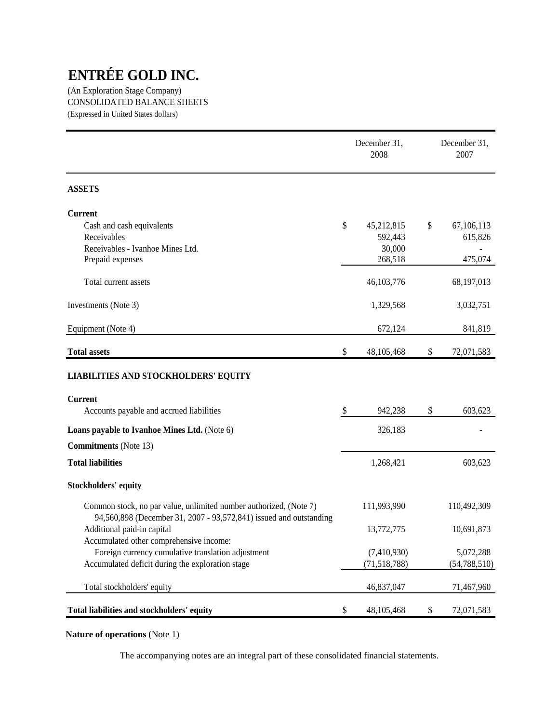(An Exploration Stage Company) CONSOLIDATED BALANCE SHEETS (Expressed in United States dollars)

|                                                                                                                                         | December 31,<br>2008 | December 31,<br>2007 |  |
|-----------------------------------------------------------------------------------------------------------------------------------------|----------------------|----------------------|--|
| <b>ASSETS</b>                                                                                                                           |                      |                      |  |
| <b>Current</b>                                                                                                                          |                      |                      |  |
| Cash and cash equivalents                                                                                                               | \$<br>45,212,815     | \$<br>67,106,113     |  |
| Receivables                                                                                                                             | 592,443              | 615,826              |  |
| Receivables - Ivanhoe Mines Ltd.                                                                                                        | 30,000               |                      |  |
| Prepaid expenses                                                                                                                        | 268,518              | 475,074              |  |
| Total current assets                                                                                                                    | 46,103,776           | 68,197,013           |  |
| Investments (Note 3)                                                                                                                    | 1,329,568            | 3,032,751            |  |
| Equipment (Note 4)                                                                                                                      | 672,124              | 841,819              |  |
| <b>Total assets</b>                                                                                                                     | \$<br>48,105,468     | \$<br>72,071,583     |  |
| <b>LIABILITIES AND STOCKHOLDERS' EQUITY</b>                                                                                             |                      |                      |  |
| <b>Current</b>                                                                                                                          |                      |                      |  |
| Accounts payable and accrued liabilities                                                                                                | \$<br>942,238        | \$<br>603,623        |  |
| Loans payable to Ivanhoe Mines Ltd. (Note 6)                                                                                            | 326,183              |                      |  |
| <b>Commitments</b> (Note 13)                                                                                                            |                      |                      |  |
| <b>Total liabilities</b>                                                                                                                | 1,268,421            | 603,623              |  |
| <b>Stockholders' equity</b>                                                                                                             |                      |                      |  |
| Common stock, no par value, unlimited number authorized, (Note 7)<br>94,560,898 (December 31, 2007 - 93,572,841) issued and outstanding | 111,993,990          | 110,492,309          |  |
| Additional paid-in capital                                                                                                              | 13,772,775           | 10,691,873           |  |
| Accumulated other comprehensive income:                                                                                                 |                      |                      |  |
| Foreign currency cumulative translation adjustment                                                                                      | (7,410,930)          | 5,072,288            |  |
| Accumulated deficit during the exploration stage                                                                                        | (71, 518, 788)       | (54, 788, 510)       |  |
|                                                                                                                                         |                      |                      |  |
| Total stockholders' equity                                                                                                              | 46,837,047           | 71,467,960           |  |
| Total liabilities and stockholders' equity                                                                                              | \$<br>48,105,468     | \$<br>72,071,583     |  |

**Nature of operations** (Note 1)

The accompanying notes are an integral part of these consolidated financial statements.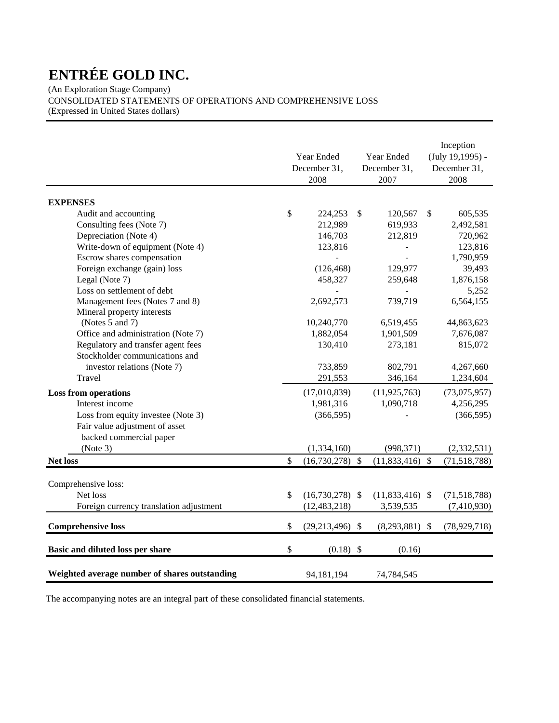(An Exploration Stage Company) CONSOLIDATED STATEMENTS OF OPERATIONS AND COMPREHENSIVE LOSS (Expressed in United States dollars)

|                                               | Year Ended<br>December 31,<br>2008 |               | Year Ended<br>December 31,<br>2007 |              | Inception<br>(July 19,1995) -<br>December 31,<br>2008 |
|-----------------------------------------------|------------------------------------|---------------|------------------------------------|--------------|-------------------------------------------------------|
|                                               |                                    |               |                                    |              |                                                       |
| <b>EXPENSES</b>                               |                                    |               |                                    |              |                                                       |
| Audit and accounting                          | \$<br>224,253                      | $\mathcal{S}$ | 120,567                            | $\mathbb{S}$ | 605,535                                               |
| Consulting fees (Note 7)                      | 212,989                            |               | 619,933                            |              | 2,492,581                                             |
| Depreciation (Note 4)                         | 146,703                            |               | 212,819                            |              | 720,962                                               |
| Write-down of equipment (Note 4)              | 123,816                            |               |                                    |              | 123,816                                               |
| Escrow shares compensation                    |                                    |               |                                    |              | 1,790,959                                             |
| Foreign exchange (gain) loss                  | (126, 468)                         |               | 129,977                            |              | 39,493                                                |
| Legal (Note 7)                                | 458,327                            |               | 259,648                            |              | 1,876,158                                             |
| Loss on settlement of debt                    |                                    |               |                                    |              | 5,252                                                 |
| Management fees (Notes 7 and 8)               | 2,692,573                          |               | 739,719                            |              | 6,564,155                                             |
| Mineral property interests                    |                                    |               |                                    |              |                                                       |
| (Notes 5 and 7)                               | 10,240,770                         |               | 6,519,455                          |              | 44,863,623                                            |
| Office and administration (Note 7)            | 1,882,054                          |               | 1,901,509                          |              | 7,676,087                                             |
| Regulatory and transfer agent fees            | 130,410                            |               | 273,181                            |              | 815,072                                               |
| Stockholder communications and                |                                    |               |                                    |              |                                                       |
| investor relations (Note 7)                   | 733,859                            |               | 802,791                            |              | 4,267,660                                             |
| Travel                                        | 291,553                            |               | 346,164                            |              | 1,234,604                                             |
| <b>Loss from operations</b>                   | (17,010,839)                       |               | (11, 925, 763)                     |              | (73,075,957)                                          |
| Interest income                               | 1,981,316                          |               | 1,090,718                          |              | 4,256,295                                             |
| Loss from equity investee (Note 3)            | (366, 595)                         |               |                                    |              | (366, 595)                                            |
| Fair value adjustment of asset                |                                    |               |                                    |              |                                                       |
| backed commercial paper                       |                                    |               |                                    |              |                                                       |
| (Note 3)                                      | (1, 334, 160)                      |               | (998, 371)                         |              | (2, 332, 531)                                         |
| <b>Net loss</b>                               | \$<br>(16, 730, 278)               | $\mathcal{S}$ | $(11,833,416)$ \$                  |              | (71, 518, 788)                                        |
|                                               |                                    |               |                                    |              |                                                       |
| Comprehensive loss:                           |                                    |               |                                    |              |                                                       |
| Net loss                                      | \$<br>$(16,730,278)$ \$            |               | $(11,833,416)$ \$                  |              | (71,518,788)                                          |
| Foreign currency translation adjustment       | (12, 483, 218)                     |               | 3,539,535                          |              | (7,410,930)                                           |
| <b>Comprehensive loss</b>                     | \$<br>$(29,213,496)$ \$            |               | $(8,293,881)$ \$                   |              | (78, 929, 718)                                        |
| Basic and diluted loss per share              | \$<br>$(0.18)$ \$                  |               | (0.16)                             |              |                                                       |
| Weighted average number of shares outstanding | 94,181,194                         |               | 74,784,545                         |              |                                                       |

The accompanying notes are an integral part of these consolidated financial statements.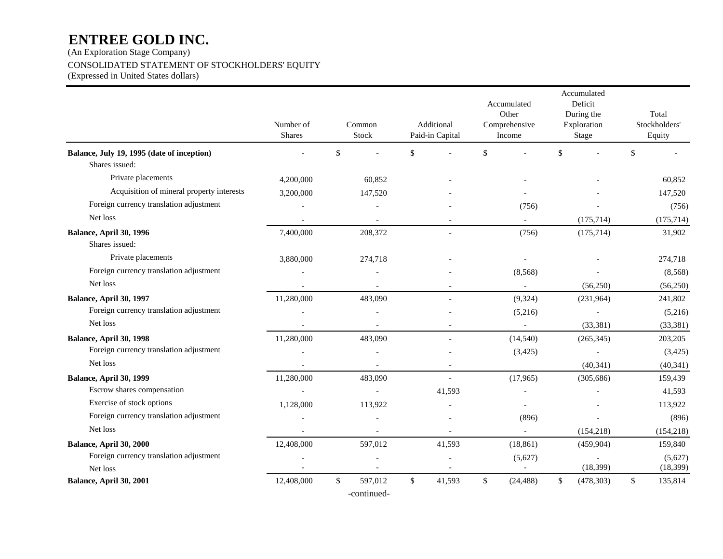(An Exploration Stage Company)

#### CONSOLIDATED STATEMENT OF STOCKHOLDERS' EQUITY

(Expressed in United States dollars)

|                                                              | Number of<br><b>Shares</b> | Common<br><b>Stock</b>                 | Additional<br>Paid-in Capital | Accumulated<br>Other<br>Comprehensive<br>Income | Accumulated<br>Deficit<br>During the<br>Exploration<br>Stage | Total<br>Stockholders'<br>Equity |
|--------------------------------------------------------------|----------------------------|----------------------------------------|-------------------------------|-------------------------------------------------|--------------------------------------------------------------|----------------------------------|
| Balance, July 19, 1995 (date of inception)<br>Shares issued: |                            | \$                                     | \$                            | \$                                              | \$                                                           | \$                               |
| Private placements                                           | 4,200,000                  | 60,852                                 |                               |                                                 |                                                              | 60,852                           |
| Acquisition of mineral property interests                    | 3,200,000                  | 147,520                                |                               |                                                 |                                                              | 147,520                          |
| Foreign currency translation adjustment                      | $\overline{\phantom{a}}$   |                                        |                               | (756)                                           |                                                              | (756)                            |
| Net loss                                                     | $\overline{\phantom{a}}$   | $\overline{\phantom{a}}$               |                               | $\overline{\phantom{a}}$                        | (175, 714)                                                   | (175, 714)                       |
| Balance, April 30, 1996<br>Shares issued:                    | 7,400,000                  | 208,372                                | $\overline{a}$                | (756)                                           | (175, 714)                                                   | 31,902                           |
| Private placements                                           | 3,880,000                  | 274,718                                |                               |                                                 |                                                              | 274,718                          |
| Foreign currency translation adjustment                      |                            |                                        |                               | (8, 568)                                        |                                                              | (8, 568)                         |
| Net loss                                                     | $\overline{\phantom{a}}$   | $\overline{\phantom{a}}$               |                               | $\overline{\phantom{a}}$                        | (56,250)                                                     | (56,250)                         |
| Balance, April 30, 1997                                      | 11,280,000                 | 483,090                                |                               | (9, 324)                                        | (231,964)                                                    | 241,802                          |
| Foreign currency translation adjustment                      |                            |                                        |                               | (5,216)                                         |                                                              | (5,216)                          |
| Net loss                                                     | $\sim$                     | $\overline{\phantom{a}}$               |                               | $\overline{\phantom{a}}$                        | (33, 381)                                                    | (33, 381)                        |
| Balance, April 30, 1998                                      | 11,280,000                 | 483,090                                |                               | (14, 540)                                       | (265, 345)                                                   | 203,205                          |
| Foreign currency translation adjustment                      | L,                         |                                        |                               | (3,425)                                         | $\overline{\phantom{a}}$                                     | (3,425)                          |
| Net loss                                                     |                            |                                        |                               |                                                 | (40, 341)                                                    | (40, 341)                        |
| Balance, April 30, 1999                                      | 11,280,000                 | 483,090                                |                               | (17, 965)                                       | (305, 686)                                                   | 159,439                          |
| Escrow shares compensation                                   | $\overline{a}$             |                                        | 41,593                        |                                                 |                                                              | 41,593                           |
| Exercise of stock options                                    | 1,128,000                  | 113,922                                |                               |                                                 |                                                              | 113,922                          |
| Foreign currency translation adjustment                      |                            |                                        |                               | (896)                                           |                                                              | (896)                            |
| Net loss                                                     |                            |                                        |                               | $\sim$                                          | (154, 218)                                                   | (154, 218)                       |
| Balance, April 30, 2000                                      | 12,408,000                 | 597,012                                | 41,593                        | (18, 861)                                       | (459,904)                                                    | 159,840                          |
| Foreign currency translation adjustment<br>Net loss          | $\overline{\phantom{a}}$   |                                        |                               | (5,627)<br>$\overline{\phantom{a}}$             | (18, 399)                                                    | (5,627)<br>(18, 399)             |
| Balance, April 30, 2001                                      | 12,408,000                 | $\mathbb{S}$<br>597,012<br>-continued- | $\mathbb{S}$<br>41,593        | $\mathbb{S}$<br>(24, 488)                       | $\mathbb{S}$<br>(478, 303)                                   | \$<br>135,814                    |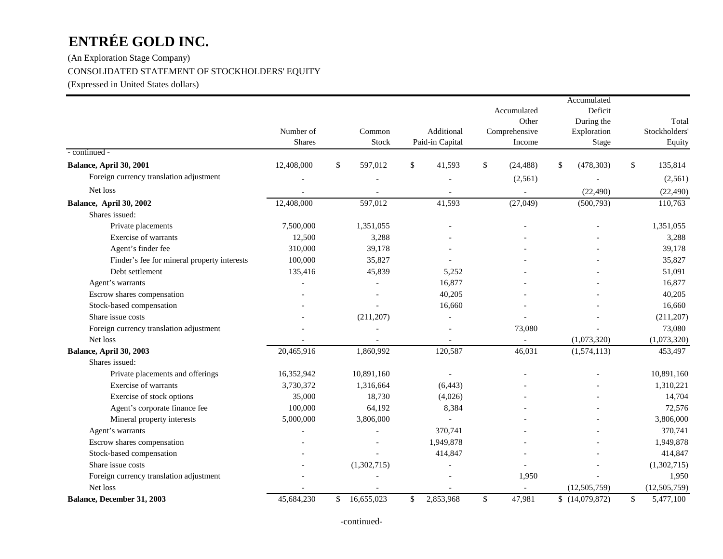(An Exploration Stage Company) CONSOLIDATED STATEMENT OF STOCKHOLDERS' EQUITY (Expressed in United States dollars)

|                                             | Number of<br><b>Shares</b> | Common<br>Stock  | Additional<br>Paid-in Capital |              | Accumulated<br>Other<br>Comprehensive<br>Income |              | Accumulated<br>Deficit<br>During the<br>Exploration<br>Stage | Total<br>Stockholders'<br>Equity |
|---------------------------------------------|----------------------------|------------------|-------------------------------|--------------|-------------------------------------------------|--------------|--------------------------------------------------------------|----------------------------------|
| - continued -                               |                            |                  |                               |              |                                                 |              |                                                              |                                  |
| Balance, April 30, 2001                     | 12,408,000                 | \$<br>597,012    | \$<br>41,593                  | \$           | (24, 488)                                       | $\mathbb{S}$ | (478, 303)                                                   | \$<br>135,814                    |
| Foreign currency translation adjustment     |                            |                  |                               |              | (2, 561)                                        |              |                                                              | (2,561)                          |
| Net loss                                    |                            |                  |                               |              |                                                 |              | (22, 490)                                                    | (22, 490)                        |
| Balance, April 30, 2002                     | 12,408,000                 | 597,012          | 41,593                        |              | (27,049)                                        |              | (500, 793)                                                   | 110,763                          |
| Shares issued:                              |                            |                  |                               |              |                                                 |              |                                                              |                                  |
| Private placements                          | 7,500,000                  | 1,351,055        |                               |              |                                                 |              |                                                              | 1,351,055                        |
| Exercise of warrants                        | 12,500                     | 3,288            |                               |              |                                                 |              |                                                              | 3,288                            |
| Agent's finder fee                          | 310,000                    | 39,178           |                               |              |                                                 |              |                                                              | 39,178                           |
| Finder's fee for mineral property interests | 100,000                    | 35,827           |                               |              |                                                 |              |                                                              | 35,827                           |
| Debt settlement                             | 135,416                    | 45,839           | 5,252                         |              |                                                 |              |                                                              | 51,091                           |
| Agent's warrants                            |                            |                  | 16,877                        |              |                                                 |              |                                                              | 16,877                           |
| Escrow shares compensation                  |                            |                  | 40,205                        |              |                                                 |              |                                                              | 40,205                           |
| Stock-based compensation                    |                            |                  | 16,660                        |              |                                                 |              |                                                              | 16,660                           |
| Share issue costs                           |                            | (211, 207)       | $\overline{\phantom{a}}$      |              |                                                 |              |                                                              | (211, 207)                       |
| Foreign currency translation adjustment     |                            |                  |                               |              | 73,080                                          |              |                                                              | 73,080                           |
| Net loss                                    |                            |                  |                               |              | $\overline{\phantom{a}}$                        |              | (1,073,320)                                                  | (1,073,320)                      |
| Balance, April 30, 2003                     | 20,465,916                 | 1,860,992        | 120,587                       |              | 46,031                                          |              | (1,574,113)                                                  | 453,497                          |
| Shares issued:                              |                            |                  |                               |              |                                                 |              |                                                              |                                  |
| Private placements and offerings            | 16,352,942                 | 10,891,160       |                               |              |                                                 |              |                                                              | 10,891,160                       |
| Exercise of warrants                        | 3,730,372                  | 1,316,664        | (6, 443)                      |              |                                                 |              |                                                              | 1,310,221                        |
| Exercise of stock options                   | 35,000                     | 18,730           | (4,026)                       |              |                                                 |              |                                                              | 14,704                           |
| Agent's corporate finance fee               | 100,000                    | 64,192           | 8,384                         |              |                                                 |              |                                                              | 72,576                           |
| Mineral property interests                  | 5,000,000                  | 3,806,000        |                               |              |                                                 |              |                                                              | 3,806,000                        |
| Agent's warrants                            |                            |                  | 370,741                       |              |                                                 |              |                                                              | 370,741                          |
| Escrow shares compensation                  |                            |                  | 1,949,878                     |              |                                                 |              |                                                              | 1,949,878                        |
| Stock-based compensation                    |                            |                  | 414,847                       |              |                                                 |              |                                                              | 414,847                          |
| Share issue costs                           |                            | (1,302,715)      |                               |              |                                                 |              |                                                              | (1,302,715)                      |
| Foreign currency translation adjustment     |                            |                  |                               |              | 1,950                                           |              |                                                              | 1,950                            |
| Net loss                                    |                            |                  |                               |              |                                                 |              | (12,505,759)                                                 | (12, 505, 759)                   |
| Balance, December 31, 2003                  | 45,684,230                 | \$<br>16,655,023 | \$<br>2,853,968               | $\mathbb{S}$ | 47,981                                          |              | \$(14,079,872)                                               | \$<br>5,477,100                  |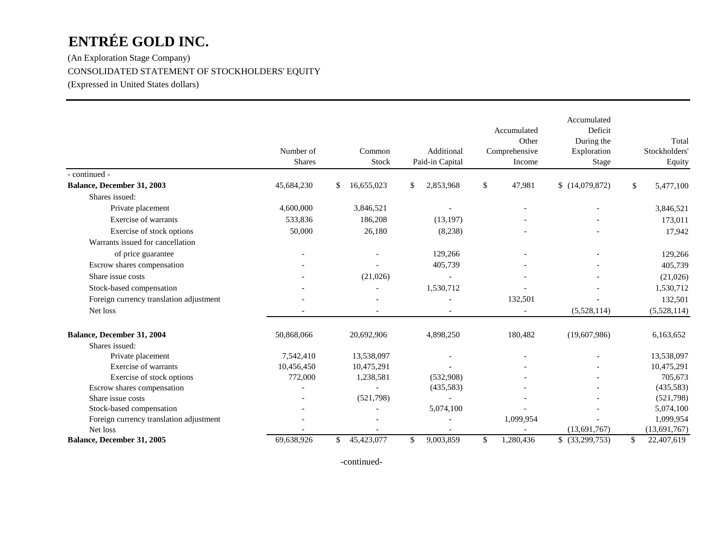(An Exploration Stage Company) CONSOLIDATED STATEMENT OF STOCKHOLDERS' EQUITY (Expressed in United States dollars)

|                                         | Number of<br><b>Shares</b> | Common<br>Stock  | Additional<br>Paid-in Capital | Accumulated<br>Other<br>Comprehensive<br>Income | Accumulated<br>Deficit<br>During the<br>Exploration<br>Stage | Total<br>Stockholders'<br>Equity |
|-----------------------------------------|----------------------------|------------------|-------------------------------|-------------------------------------------------|--------------------------------------------------------------|----------------------------------|
| - continued -                           |                            |                  |                               |                                                 |                                                              |                                  |
| Balance, December 31, 2003              | 45,684,230                 | 16,655,023<br>\$ | \$<br>2,853,968               | \$<br>47,981                                    | \$(14,079,872)                                               | \$<br>5,477,100                  |
| Shares issued:                          |                            |                  |                               |                                                 |                                                              |                                  |
| Private placement                       | 4,600,000                  | 3,846,521        |                               |                                                 |                                                              | 3,846,521                        |
| Exercise of warrants                    | 533,836                    | 186,208          | (13, 197)                     |                                                 |                                                              | 173,011                          |
| Exercise of stock options               | 50,000                     | 26,180           | (8,238)                       |                                                 |                                                              | 17,942                           |
| Warrants issued for cancellation        |                            |                  |                               |                                                 |                                                              |                                  |
| of price guarantee                      |                            |                  | 129,266                       |                                                 |                                                              | 129,266                          |
| Escrow shares compensation              |                            |                  | 405,739                       |                                                 |                                                              | 405,739                          |
| Share issue costs                       |                            | (21,026)         |                               |                                                 |                                                              | (21,026)                         |
| Stock-based compensation                |                            |                  | 1,530,712                     |                                                 |                                                              | 1,530,712                        |
| Foreign currency translation adjustment |                            |                  |                               | 132,501                                         |                                                              | 132,501                          |
| Net loss                                |                            |                  |                               |                                                 | (5,528,114)                                                  | (5,528,114)                      |
| Balance, December 31, 2004              | 50,868,066                 | 20,692,906       | 4,898,250                     | 180,482                                         | (19,607,986)                                                 | 6,163,652                        |
| Shares issued:                          |                            |                  |                               |                                                 |                                                              |                                  |
| Private placement                       | 7,542,410                  | 13,538,097       |                               |                                                 |                                                              | 13,538,097                       |
| Exercise of warrants                    | 10,456,450                 | 10,475,291       |                               |                                                 |                                                              | 10,475,291                       |
| Exercise of stock options               | 772,000                    | 1,238,581        | (532,908)                     |                                                 |                                                              | 705,673                          |
| Escrow shares compensation              |                            |                  | (435,583)                     |                                                 |                                                              | (435,583)                        |
| Share issue costs                       |                            | (521,798)        |                               |                                                 |                                                              | (521,798)                        |
| Stock-based compensation                |                            |                  | 5,074,100                     |                                                 |                                                              | 5,074,100                        |
| Foreign currency translation adjustment |                            |                  |                               | 1,099,954                                       |                                                              | 1,099,954                        |
| Net loss                                |                            |                  |                               |                                                 | (13,691,767)                                                 | (13,691,767)                     |
| Balance, December 31, 2005              | 69,638,926                 | 45,423,077<br>\$ | $\mathbb{S}$<br>9,003,859     | \$<br>1,280,436                                 | $$$ (33,299,753)                                             | 22,407,619<br>\$                 |

-continued-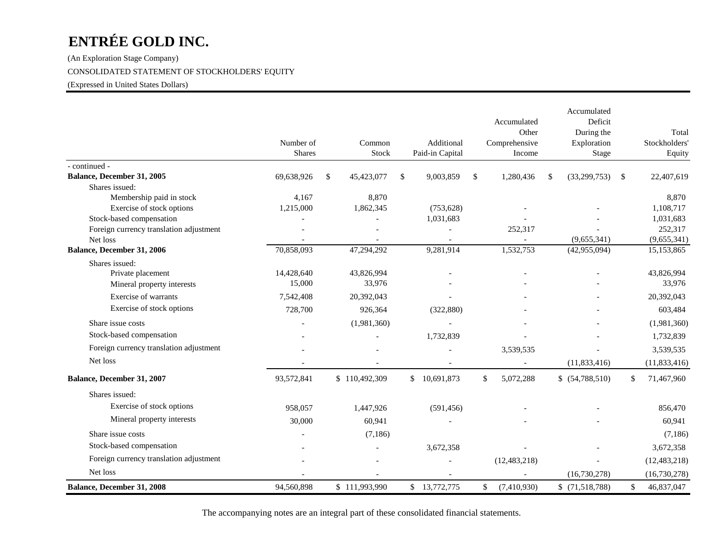(An Exploration Stage Company) CONSOLIDATED STATEMENT OF STOCKHOLDERS' EQUITY

(Expressed in United States Dollars)

|                                         | Number of     | Common           | Additional       | Accumulated<br>Other<br>Comprehensive |               | Accumulated<br>Deficit<br>During the<br>Exploration |    | Total<br>Stockholders' |
|-----------------------------------------|---------------|------------------|------------------|---------------------------------------|---------------|-----------------------------------------------------|----|------------------------|
|                                         | <b>Shares</b> | Stock            | Paid-in Capital  | Income                                |               | Stage                                               |    | Equity                 |
| - continued -                           |               |                  |                  |                                       |               |                                                     |    |                        |
| Balance, December 31, 2005              | 69,638,926    | \$<br>45,423,077 | \$<br>9,003,859  | \$<br>1,280,436                       | <sup>\$</sup> | (33,299,753)                                        | -S | 22,407,619             |
| Shares issued:                          |               |                  |                  |                                       |               |                                                     |    |                        |
| Membership paid in stock                | 4,167         | 8,870            |                  |                                       |               |                                                     |    | 8,870                  |
| Exercise of stock options               | 1,215,000     | 1,862,345        | (753, 628)       |                                       |               |                                                     |    | 1,108,717              |
| Stock-based compensation                |               |                  | 1,031,683        |                                       |               |                                                     |    | 1,031,683              |
| Foreign currency translation adjustment |               |                  |                  | 252,317                               |               |                                                     |    | 252,317                |
| Net loss                                |               |                  |                  |                                       |               | (9,655,341)                                         |    | (9,655,341)            |
| Balance, December 31, 2006              | 70,858,093    | 47,294,292       | 9,281,914        | 1,532,753                             |               | (42, 955, 094)                                      |    | 15,153,865             |
| Shares issued:                          |               |                  |                  |                                       |               |                                                     |    |                        |
| Private placement                       | 14,428,640    | 43,826,994       |                  |                                       |               |                                                     |    | 43,826,994             |
| Mineral property interests              | 15,000        | 33,976           |                  |                                       |               |                                                     |    | 33,976                 |
| Exercise of warrants                    | 7,542,408     | 20,392,043       |                  |                                       |               |                                                     |    | 20,392,043             |
| Exercise of stock options               | 728,700       | 926,364          | (322, 880)       |                                       |               |                                                     |    | 603,484                |
| Share issue costs                       |               | (1,981,360)      |                  |                                       |               |                                                     |    | (1,981,360)            |
| Stock-based compensation                |               |                  | 1,732,839        |                                       |               |                                                     |    | 1,732,839              |
| Foreign currency translation adjustment |               |                  |                  | 3,539,535                             |               |                                                     |    | 3,539,535              |
| Net loss                                |               |                  |                  |                                       |               | (11, 833, 416)                                      |    | (11, 833, 416)         |
| Balance, December 31, 2007              | 93,572,841    | \$110,492,309    | \$<br>10.691.873 | $\mathbb{S}$<br>5,072,288             |               | \$(54,788,510)                                      | \$ | 71,467,960             |
| Shares issued:                          |               |                  |                  |                                       |               |                                                     |    |                        |
| Exercise of stock options               | 958,057       | 1,447,926        | (591, 456)       |                                       |               |                                                     |    | 856,470                |
| Mineral property interests              | 30,000        | 60,941           |                  |                                       |               |                                                     |    | 60,941                 |
| Share issue costs                       |               | (7,186)          |                  |                                       |               |                                                     |    | (7, 186)               |
| Stock-based compensation                |               |                  | 3,672,358        |                                       |               |                                                     |    | 3,672,358              |
| Foreign currency translation adjustment |               |                  |                  | (12, 483, 218)                        |               |                                                     |    | (12, 483, 218)         |
| Net loss                                |               |                  |                  |                                       |               | (16,730,278)                                        |    | (16,730,278)           |
| Balance, December 31, 2008              | 94,560,898    | \$111,993,990    | \$13,772,775     | \$<br>(7,410,930)                     |               | \$(71,518,788)                                      | \$ | 46,837,047             |

The accompanying notes are an integral part of these consolidated financial statements.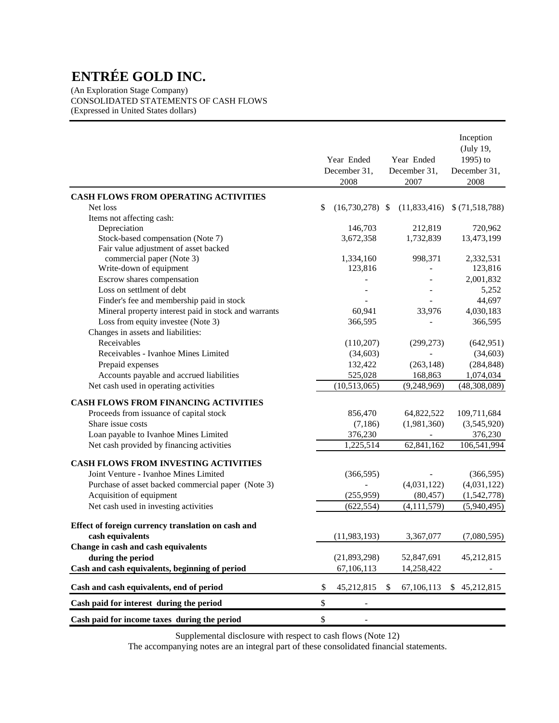(An Exploration Stage Company) CONSOLIDATED STATEMENTS OF CASH FLOWS (Expressed in United States dollars)

|                                                      | Year Ended<br>December 31,<br>2008 | Year Ended<br>December 31,<br>2007 | Inception<br>(July 19,<br>1995) to<br>December 31,<br>2008 |
|------------------------------------------------------|------------------------------------|------------------------------------|------------------------------------------------------------|
| <b>CASH FLOWS FROM OPERATING ACTIVITIES</b>          |                                    |                                    |                                                            |
| Net loss                                             | \$<br>$(16,730,278)$ \$            | (11,833,416)                       | \$(71,518,788)                                             |
| Items not affecting cash:                            |                                    |                                    |                                                            |
| Depreciation                                         | 146,703                            | 212,819                            | 720,962                                                    |
| Stock-based compensation (Note 7)                    | 3,672,358                          | 1,732,839                          | 13,473,199                                                 |
| Fair value adjustment of asset backed                |                                    |                                    |                                                            |
| commercial paper (Note 3)                            | 1,334,160                          | 998,371                            | 2,332,531                                                  |
| Write-down of equipment                              | 123,816                            |                                    | 123,816                                                    |
| Escrow shares compensation                           |                                    |                                    | 2,001,832                                                  |
| Loss on settlment of debt                            |                                    |                                    | 5,252                                                      |
| Finder's fee and membership paid in stock            |                                    |                                    | 44,697                                                     |
| Mineral property interest paid in stock and warrants | 60,941                             | 33,976                             | 4,030,183                                                  |
| Loss from equity investee (Note 3)                   | 366,595                            |                                    | 366,595                                                    |
| Changes in assets and liabilities:                   |                                    |                                    |                                                            |
| Receivables                                          | (110,207)                          | (299, 273)                         | (642, 951)                                                 |
| Receivables - Ivanhoe Mines Limited                  | (34, 603)                          |                                    | (34, 603)                                                  |
| Prepaid expenses                                     | 132,422                            | (263, 148)                         | (284, 848)                                                 |
| Accounts payable and accrued liabilities             | 525,028                            | 168,863                            | 1,074,034                                                  |
| Net cash used in operating activities                | (10,513,065)                       | (9,248,969)                        | (48,308,089)                                               |
| CASH FLOWS FROM FINANCING ACTIVITIES                 |                                    |                                    |                                                            |
| Proceeds from issuance of capital stock              | 856,470                            | 64,822,522                         | 109,711,684                                                |
| Share issue costs                                    | (7,186)                            | (1,981,360)                        | (3,545,920)                                                |
| Loan payable to Ivanhoe Mines Limited                | 376,230                            |                                    | 376,230                                                    |
| Net cash provided by financing activities            | 1,225,514                          | 62,841,162                         | 106,541,994                                                |
|                                                      |                                    |                                    |                                                            |
| <b>CASH FLOWS FROM INVESTING ACTIVITIES</b>          |                                    |                                    |                                                            |
| Joint Venture - Ivanhoe Mines Limited                | (366, 595)                         |                                    | (366, 595)                                                 |
| Purchase of asset backed commercial paper (Note 3)   |                                    | (4,031,122)                        | (4,031,122)                                                |
| Acquisition of equipment                             | (255,959)                          | (80, 457)                          | (1,542,778)                                                |
| Net cash used in investing activities                | (622, 554)                         | (4, 111, 579)                      | (5,940,495)                                                |
| Effect of foreign currency translation on cash and   |                                    |                                    |                                                            |
| cash equivalents                                     | (11, 983, 193)                     | 3,367,077                          | (7,080,595)                                                |
| Change in cash and cash equivalents                  |                                    |                                    |                                                            |
| during the period                                    | (21,893,298)                       | 52,847,691                         | 45,212,815                                                 |
| Cash and cash equivalents, beginning of period       | 67,106,113                         | 14,258,422                         |                                                            |
| Cash and cash equivalents, end of period             | \$<br>45,212,815                   | 67,106,113<br><sup>\$</sup>        | \$45,212,815                                               |
| Cash paid for interest during the period             | \$                                 |                                    |                                                            |
| Cash paid for income taxes during the period         | \$                                 |                                    |                                                            |

Supplemental disclosure with respect to cash flows (Note 12)

The accompanying notes are an integral part of these consolidated financial statements.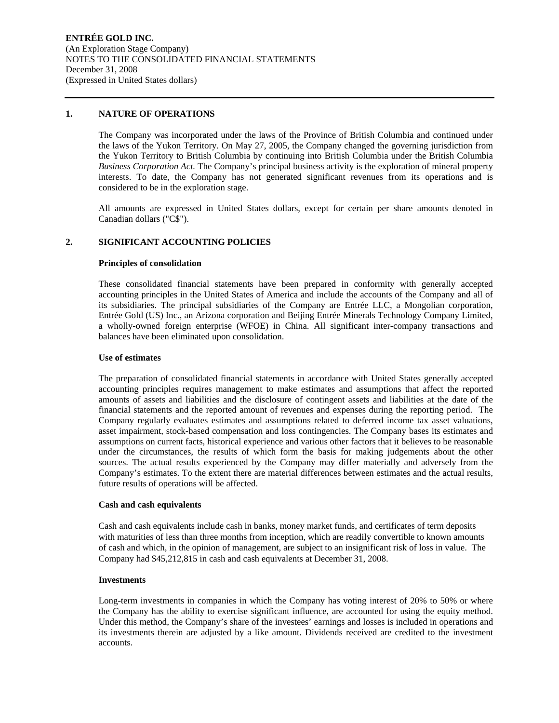#### **1. NATURE OF OPERATIONS**

The Company was incorporated under the laws of the Province of British Columbia and continued under the laws of the Yukon Territory. On May 27, 2005, the Company changed the governing jurisdiction from the Yukon Territory to British Columbia by continuing into British Columbia under the British Columbia *Business Corporation Act.* The Company's principal business activity is the exploration of mineral property interests. To date, the Company has not generated significant revenues from its operations and is considered to be in the exploration stage.

All amounts are expressed in United States dollars, except for certain per share amounts denoted in Canadian dollars ("C\$").

#### **2. SIGNIFICANT ACCOUNTING POLICIES**

#### **Principles of consolidation**

These consolidated financial statements have been prepared in conformity with generally accepted accounting principles in the United States of America and include the accounts of the Company and all of its subsidiaries. The principal subsidiaries of the Company are Entrée LLC, a Mongolian corporation, Entrée Gold (US) Inc., an Arizona corporation and Beijing Entrée Minerals Technology Company Limited, a wholly-owned foreign enterprise (WFOE) in China. All significant inter-company transactions and balances have been eliminated upon consolidation.

#### **Use of estimates**

The preparation of consolidated financial statements in accordance with United States generally accepted accounting principles requires management to make estimates and assumptions that affect the reported amounts of assets and liabilities and the disclosure of contingent assets and liabilities at the date of the financial statements and the reported amount of revenues and expenses during the reporting period. The Company regularly evaluates estimates and assumptions related to deferred income tax asset valuations, asset impairment, stock-based compensation and loss contingencies. The Company bases its estimates and assumptions on current facts, historical experience and various other factors that it believes to be reasonable under the circumstances, the results of which form the basis for making judgements about the other sources. The actual results experienced by the Company may differ materially and adversely from the Company's estimates. To the extent there are material differences between estimates and the actual results, future results of operations will be affected.

#### **Cash and cash equivalents**

Cash and cash equivalents include cash in banks, money market funds, and certificates of term deposits with maturities of less than three months from inception, which are readily convertible to known amounts of cash and which, in the opinion of management, are subject to an insignificant risk of loss in value. The Company had \$45,212,815 in cash and cash equivalents at December 31, 2008.

#### **Investments**

Long-term investments in companies in which the Company has voting interest of 20% to 50% or where the Company has the ability to exercise significant influence, are accounted for using the equity method. Under this method, the Company's share of the investees' earnings and losses is included in operations and its investments therein are adjusted by a like amount. Dividends received are credited to the investment accounts.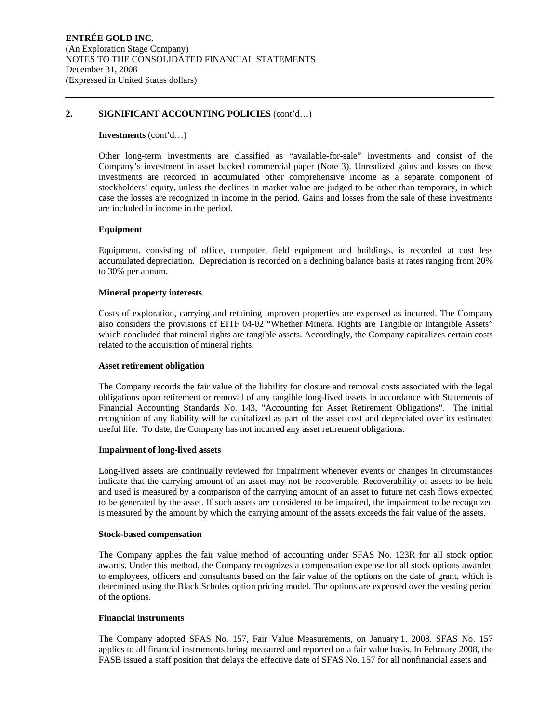#### **Investments** (cont'd…)

Other long-term investments are classified as "available-for-sale" investments and consist of the Company's investment in asset backed commercial paper (Note 3). Unrealized gains and losses on these investments are recorded in accumulated other comprehensive income as a separate component of stockholders' equity, unless the declines in market value are judged to be other than temporary, in which case the losses are recognized in income in the period. Gains and losses from the sale of these investments are included in income in the period.

#### **Equipment**

Equipment, consisting of office, computer, field equipment and buildings, is recorded at cost less accumulated depreciation. Depreciation is recorded on a declining balance basis at rates ranging from 20% to 30% per annum.

#### **Mineral property interests**

Costs of exploration, carrying and retaining unproven properties are expensed as incurred. The Company also considers the provisions of EITF 04-02 "Whether Mineral Rights are Tangible or Intangible Assets" which concluded that mineral rights are tangible assets. Accordingly, the Company capitalizes certain costs related to the acquisition of mineral rights.

#### **Asset retirement obligation**

The Company records the fair value of the liability for closure and removal costs associated with the legal obligations upon retirement or removal of any tangible long-lived assets in accordance with Statements of Financial Accounting Standards No. 143, "Accounting for Asset Retirement Obligations". The initial recognition of any liability will be capitalized as part of the asset cost and depreciated over its estimated useful life. To date, the Company has not incurred any asset retirement obligations.

#### **Impairment of long-lived assets**

Long-lived assets are continually reviewed for impairment whenever events or changes in circumstances indicate that the carrying amount of an asset may not be recoverable. Recoverability of assets to be held and used is measured by a comparison of the carrying amount of an asset to future net cash flows expected to be generated by the asset. If such assets are considered to be impaired, the impairment to be recognized is measured by the amount by which the carrying amount of the assets exceeds the fair value of the assets.

#### **Stock-based compensation**

The Company applies the fair value method of accounting under SFAS No. 123R for all stock option awards. Under this method, the Company recognizes a compensation expense for all stock options awarded to employees, officers and consultants based on the fair value of the options on the date of grant, which is determined using the Black Scholes option pricing model. The options are expensed over the vesting period of the options.

#### **Financial instruments**

The Company adopted SFAS No. 157, Fair Value Measurements, on January 1, 2008. SFAS No. 157 applies to all financial instruments being measured and reported on a fair value basis. In February 2008, the FASB issued a staff position that delays the effective date of SFAS No. 157 for all nonfinancial assets and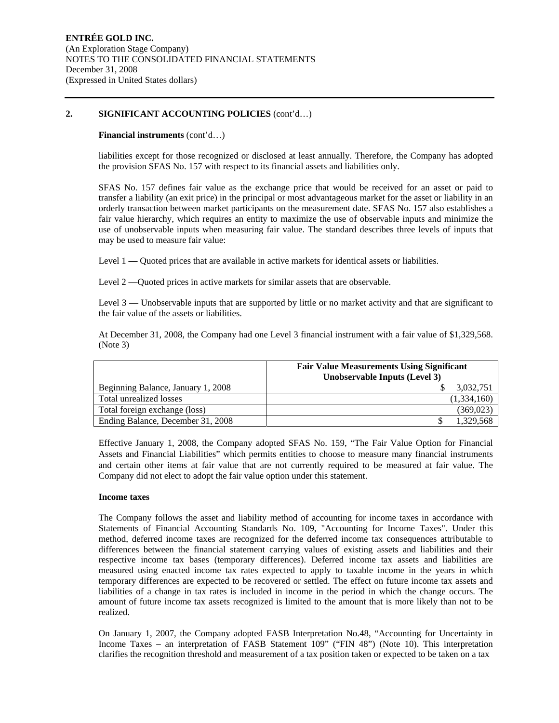#### **Financial instruments** (cont'd…)

liabilities except for those recognized or disclosed at least annually. Therefore, the Company has adopted the provision SFAS No. 157 with respect to its financial assets and liabilities only.

SFAS No. 157 defines fair value as the exchange price that would be received for an asset or paid to transfer a liability (an exit price) in the principal or most advantageous market for the asset or liability in an orderly transaction between market participants on the measurement date. SFAS No. 157 also establishes a fair value hierarchy, which requires an entity to maximize the use of observable inputs and minimize the use of unobservable inputs when measuring fair value. The standard describes three levels of inputs that may be used to measure fair value:

Level 1 — Quoted prices that are available in active markets for identical assets or liabilities.

Level 2 —Quoted prices in active markets for similar assets that are observable.

Level 3 — Unobservable inputs that are supported by little or no market activity and that are significant to the fair value of the assets or liabilities.

At December 31, 2008, the Company had one Level 3 financial instrument with a fair value of \$1,329,568. (Note 3)

|                                    | <b>Fair Value Measurements Using Significant</b> |  |  |  |  |  |  |
|------------------------------------|--------------------------------------------------|--|--|--|--|--|--|
|                                    | Unobservable Inputs (Level 3)                    |  |  |  |  |  |  |
| Beginning Balance, January 1, 2008 | 3,032,751                                        |  |  |  |  |  |  |
| Total unrealized losses            | (1,334,160)                                      |  |  |  |  |  |  |
| Total foreign exchange (loss)      | (369,023)                                        |  |  |  |  |  |  |
| Ending Balance, December 31, 2008  | 1,329,568                                        |  |  |  |  |  |  |

Effective January 1, 2008, the Company adopted SFAS No. 159, "The Fair Value Option for Financial Assets and Financial Liabilities" which permits entities to choose to measure many financial instruments and certain other items at fair value that are not currently required to be measured at fair value. The Company did not elect to adopt the fair value option under this statement.

#### **Income taxes**

The Company follows the asset and liability method of accounting for income taxes in accordance with Statements of Financial Accounting Standards No. 109, "Accounting for Income Taxes". Under this method, deferred income taxes are recognized for the deferred income tax consequences attributable to differences between the financial statement carrying values of existing assets and liabilities and their respective income tax bases (temporary differences). Deferred income tax assets and liabilities are measured using enacted income tax rates expected to apply to taxable income in the years in which temporary differences are expected to be recovered or settled. The effect on future income tax assets and liabilities of a change in tax rates is included in income in the period in which the change occurs. The amount of future income tax assets recognized is limited to the amount that is more likely than not to be realized.

On January 1, 2007, the Company adopted FASB Interpretation No.48, "Accounting for Uncertainty in Income Taxes – an interpretation of FASB Statement 109" ("FIN 48") (Note 10). This interpretation clarifies the recognition threshold and measurement of a tax position taken or expected to be taken on a tax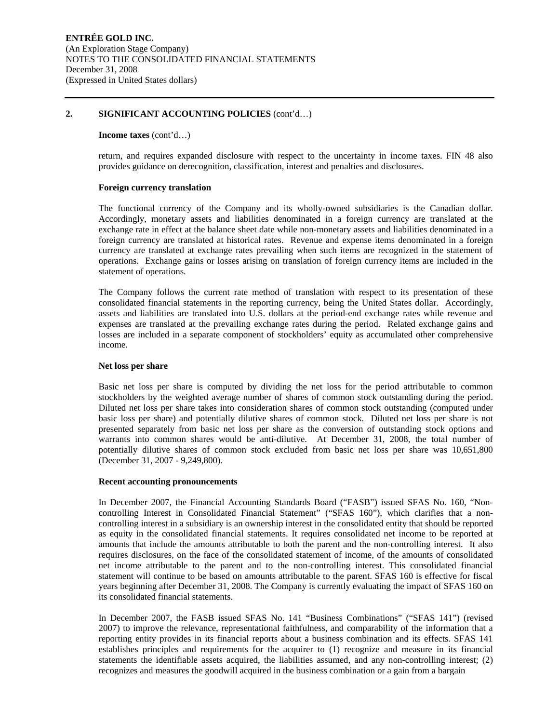#### **Income taxes** (cont'd…)

return, and requires expanded disclosure with respect to the uncertainty in income taxes. FIN 48 also provides guidance on derecognition, classification, interest and penalties and disclosures.

#### **Foreign currency translation**

The functional currency of the Company and its wholly-owned subsidiaries is the Canadian dollar. Accordingly, monetary assets and liabilities denominated in a foreign currency are translated at the exchange rate in effect at the balance sheet date while non-monetary assets and liabilities denominated in a foreign currency are translated at historical rates. Revenue and expense items denominated in a foreign currency are translated at exchange rates prevailing when such items are recognized in the statement of operations. Exchange gains or losses arising on translation of foreign currency items are included in the statement of operations.

The Company follows the current rate method of translation with respect to its presentation of these consolidated financial statements in the reporting currency, being the United States dollar. Accordingly, assets and liabilities are translated into U.S. dollars at the period-end exchange rates while revenue and expenses are translated at the prevailing exchange rates during the period. Related exchange gains and losses are included in a separate component of stockholders' equity as accumulated other comprehensive income.

#### **Net loss per share**

Basic net loss per share is computed by dividing the net loss for the period attributable to common stockholders by the weighted average number of shares of common stock outstanding during the period. Diluted net loss per share takes into consideration shares of common stock outstanding (computed under basic loss per share) and potentially dilutive shares of common stock. Diluted net loss per share is not presented separately from basic net loss per share as the conversion of outstanding stock options and warrants into common shares would be anti-dilutive. At December 31, 2008, the total number of potentially dilutive shares of common stock excluded from basic net loss per share was 10,651,800 (December 31, 2007 - 9,249,800).

#### **Recent accounting pronouncements**

In December 2007, the Financial Accounting Standards Board ("FASB") issued SFAS No. 160, "Noncontrolling Interest in Consolidated Financial Statement" ("SFAS 160"), which clarifies that a noncontrolling interest in a subsidiary is an ownership interest in the consolidated entity that should be reported as equity in the consolidated financial statements. It requires consolidated net income to be reported at amounts that include the amounts attributable to both the parent and the non-controlling interest. It also requires disclosures, on the face of the consolidated statement of income, of the amounts of consolidated net income attributable to the parent and to the non-controlling interest. This consolidated financial statement will continue to be based on amounts attributable to the parent. SFAS 160 is effective for fiscal years beginning after December 31, 2008. The Company is currently evaluating the impact of SFAS 160 on its consolidated financial statements.

In December 2007, the FASB issued SFAS No. 141 "Business Combinations" ("SFAS 141") (revised 2007) to improve the relevance, representational faithfulness, and comparability of the information that a reporting entity provides in its financial reports about a business combination and its effects. SFAS 141 establishes principles and requirements for the acquirer to (1) recognize and measure in its financial statements the identifiable assets acquired, the liabilities assumed, and any non-controlling interest; (2) recognizes and measures the goodwill acquired in the business combination or a gain from a bargain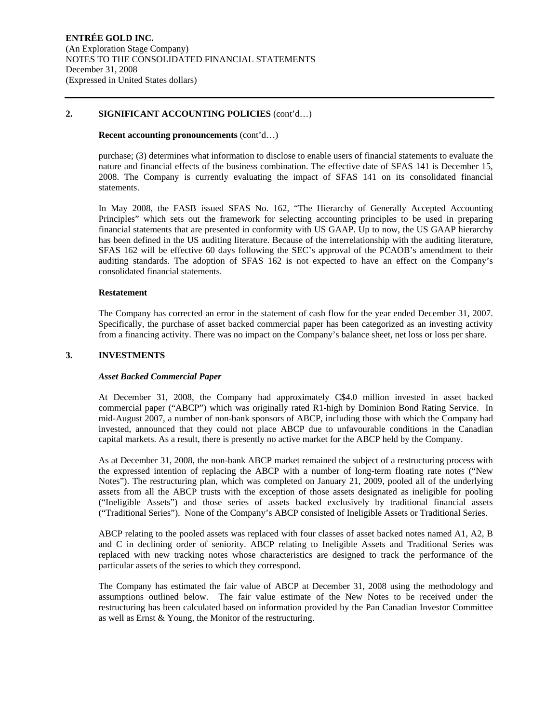#### **Recent accounting pronouncements** (cont'd…)

purchase; (3) determines what information to disclose to enable users of financial statements to evaluate the nature and financial effects of the business combination. The effective date of SFAS 141 is December 15, 2008. The Company is currently evaluating the impact of SFAS 141 on its consolidated financial statements.

In May 2008, the FASB issued SFAS No. 162, "The Hierarchy of Generally Accepted Accounting Principles" which sets out the framework for selecting accounting principles to be used in preparing financial statements that are presented in conformity with US GAAP. Up to now, the US GAAP hierarchy has been defined in the US auditing literature. Because of the interrelationship with the auditing literature, SFAS 162 will be effective 60 days following the SEC's approval of the PCAOB's amendment to their auditing standards. The adoption of SFAS 162 is not expected to have an effect on the Company's consolidated financial statements.

#### **Restatement**

The Company has corrected an error in the statement of cash flow for the year ended December 31, 2007. Specifically, the purchase of asset backed commercial paper has been categorized as an investing activity from a financing activity. There was no impact on the Company's balance sheet, net loss or loss per share.

#### **3. INVESTMENTS**

#### *Asset Backed Commercial Paper*

At December 31, 2008, the Company had approximately C\$4.0 million invested in asset backed commercial paper ("ABCP") which was originally rated R1-high by Dominion Bond Rating Service. In mid-August 2007, a number of non-bank sponsors of ABCP, including those with which the Company had invested, announced that they could not place ABCP due to unfavourable conditions in the Canadian capital markets. As a result, there is presently no active market for the ABCP held by the Company.

As at December 31, 2008, the non-bank ABCP market remained the subject of a restructuring process with the expressed intention of replacing the ABCP with a number of long-term floating rate notes ("New Notes"). The restructuring plan, which was completed on January 21, 2009, pooled all of the underlying assets from all the ABCP trusts with the exception of those assets designated as ineligible for pooling ("Ineligible Assets") and those series of assets backed exclusively by traditional financial assets ("Traditional Series"). None of the Company's ABCP consisted of Ineligible Assets or Traditional Series.

ABCP relating to the pooled assets was replaced with four classes of asset backed notes named A1, A2, B and C in declining order of seniority. ABCP relating to Ineligible Assets and Traditional Series was replaced with new tracking notes whose characteristics are designed to track the performance of the particular assets of the series to which they correspond.

The Company has estimated the fair value of ABCP at December 31, 2008 using the methodology and assumptions outlined below. The fair value estimate of the New Notes to be received under the restructuring has been calculated based on information provided by the Pan Canadian Investor Committee as well as Ernst & Young, the Monitor of the restructuring.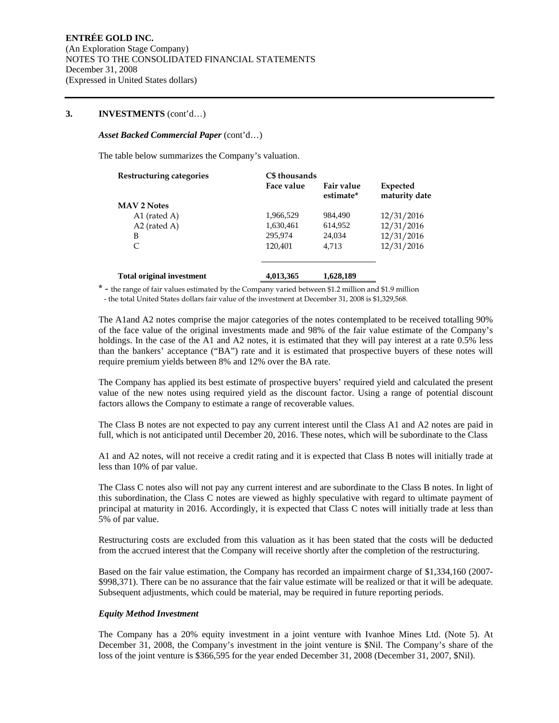#### **3. INVESTMENTS** (cont'd…)

#### *Asset Backed Commercial Paper* (cont'd…)

The table below summarizes the Company's valuation.

| Restructuring categories         | C\$ thousands<br>Face value | <b>Fair value</b><br>estimate* | Expected<br>maturity date |
|----------------------------------|-----------------------------|--------------------------------|---------------------------|
| <b>MAV 2 Notes</b>               |                             |                                |                           |
| A1 (rated A)                     | 1,966,529                   | 984,490                        | 12/31/2016                |
| $A2$ (rated A)                   | 1,630,461                   | 614,952                        | 12/31/2016                |
| B                                | 295,974                     | 24,034                         | 12/31/2016                |
| C                                | 120,401                     | 4.713                          | 12/31/2016                |
| <b>Total original investment</b> | 4,013,365                   | 1,628,189                      |                           |

\* - the range of fair values estimated by the Company varied between \$1.2 million and \$1.9 million - the total United States dollars fair value of the investment at December 31, 2008 is \$1,329,568.

The A1and A2 notes comprise the major categories of the notes contemplated to be received totalling 90% of the face value of the original investments made and 98% of the fair value estimate of the Company's holdings. In the case of the A1 and A2 notes, it is estimated that they will pay interest at a rate 0.5% less than the bankers' acceptance ("BA") rate and it is estimated that prospective buyers of these notes will require premium yields between 8% and 12% over the BA rate.

The Company has applied its best estimate of prospective buyers' required yield and calculated the present value of the new notes using required yield as the discount factor. Using a range of potential discount factors allows the Company to estimate a range of recoverable values.

The Class B notes are not expected to pay any current interest until the Class A1 and A2 notes are paid in full, which is not anticipated until December 20, 2016. These notes, which will be subordinate to the Class

A1 and A2 notes, will not receive a credit rating and it is expected that Class B notes will initially trade at less than 10% of par value.

The Class C notes also will not pay any current interest and are subordinate to the Class B notes. In light of this subordination, the Class C notes are viewed as highly speculative with regard to ultimate payment of principal at maturity in 2016. Accordingly, it is expected that Class C notes will initially trade at less than 5% of par value.

Restructuring costs are excluded from this valuation as it has been stated that the costs will be deducted from the accrued interest that the Company will receive shortly after the completion of the restructuring.

Based on the fair value estimation, the Company has recorded an impairment charge of \$1,334,160 (2007- \$998,371). There can be no assurance that the fair value estimate will be realized or that it will be adequate. Subsequent adjustments, which could be material, may be required in future reporting periods.

#### *Equity Method Investment*

The Company has a 20% equity investment in a joint venture with Ivanhoe Mines Ltd. (Note 5). At December 31, 2008, the Company's investment in the joint venture is \$Nil. The Company's share of the loss of the joint venture is \$366,595 for the year ended December 31, 2008 (December 31, 2007, \$Nil).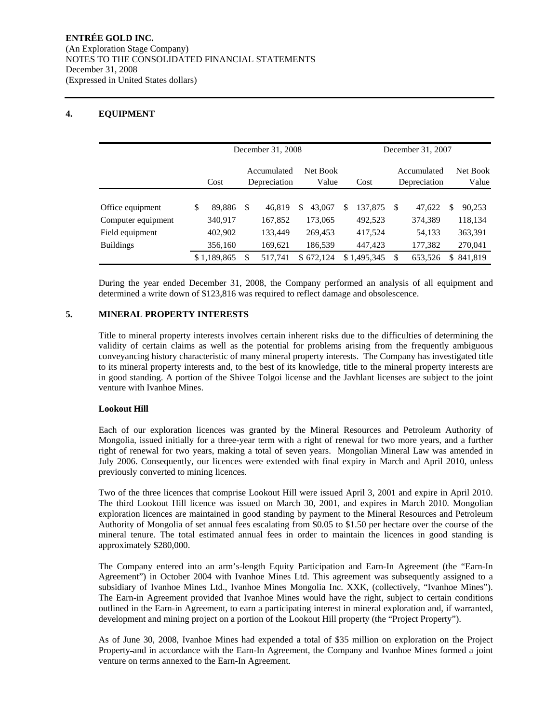### **4. EQUIPMENT**

|                                       | December 31, 2008      |    |                                                  |    |                      |   |                        |    | December 31, 2007  |    |                             |  |                   |
|---------------------------------------|------------------------|----|--------------------------------------------------|----|----------------------|---|------------------------|----|--------------------|----|-----------------------------|--|-------------------|
|                                       | Cost                   |    | Net Book<br>Accumulated<br>Value<br>Depreciation |    |                      |   |                        |    | Cost               |    | Accumulated<br>Depreciation |  | Net Book<br>Value |
| Office equipment                      | \$<br>89,886           | \$ | 46.819                                           | \$ | 43,067               | S | 137,875                | -S | 47,622             | S  | 90,253                      |  |                   |
| Computer equipment<br>Field equipment | 340,917<br>402,902     |    | 167,852<br>133,449                               |    | 173,065<br>269,453   |   | 492,523<br>417,524     |    | 374,389<br>54,133  |    | 118,134<br>363,391          |  |                   |
| <b>Buildings</b>                      | 356,160<br>\$1,189,865 | \$ | 169,621<br>517,741                               |    | 186,539<br>\$672,124 |   | 447,423<br>\$1,495,345 | \$ | 177,382<br>653,526 | S. | 270,041<br>841,819          |  |                   |

During the year ended December 31, 2008, the Company performed an analysis of all equipment and determined a write down of \$123,816 was required to reflect damage and obsolescence.

### **5. MINERAL PROPERTY INTERESTS**

Title to mineral property interests involves certain inherent risks due to the difficulties of determining the validity of certain claims as well as the potential for problems arising from the frequently ambiguous conveyancing history characteristic of many mineral property interests. The Company has investigated title to its mineral property interests and, to the best of its knowledge, title to the mineral property interests are in good standing. A portion of the Shivee Tolgoi license and the Javhlant licenses are subject to the joint venture with Ivanhoe Mines.

#### **Lookout Hill**

Each of our exploration licences was granted by the Mineral Resources and Petroleum Authority of Mongolia, issued initially for a three-year term with a right of renewal for two more years, and a further right of renewal for two years, making a total of seven years. Mongolian Mineral Law was amended in July 2006. Consequently, our licences were extended with final expiry in March and April 2010, unless previously converted to mining licences.

Two of the three licences that comprise Lookout Hill were issued April 3, 2001 and expire in April 2010. The third Lookout Hill licence was issued on March 30, 2001, and expires in March 2010. Mongolian exploration licences are maintained in good standing by payment to the Mineral Resources and Petroleum Authority of Mongolia of set annual fees escalating from \$0.05 to \$1.50 per hectare over the course of the mineral tenure. The total estimated annual fees in order to maintain the licences in good standing is approximately \$280,000.

The Company entered into an arm's-length Equity Participation and Earn-In Agreement (the "Earn-In Agreement") in October 2004 with Ivanhoe Mines Ltd. This agreement was subsequently assigned to a subsidiary of Ivanhoe Mines Ltd., Ivanhoe Mines Mongolia Inc. XXK, (collectively, "Ivanhoe Mines"). The Earn-in Agreement provided that Ivanhoe Mines would have the right, subject to certain conditions outlined in the Earn-in Agreement, to earn a participating interest in mineral exploration and, if warranted, development and mining project on a portion of the Lookout Hill property (the "Project Property").

As of June 30, 2008, Ivanhoe Mines had expended a total of \$35 million on exploration on the Project Property and in accordance with the Earn-In Agreement, the Company and Ivanhoe Mines formed a joint venture on terms annexed to the Earn-In Agreement.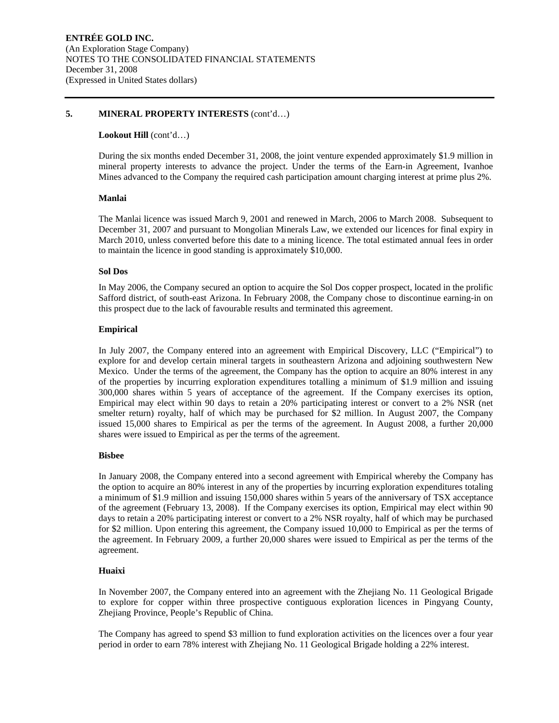#### **5. MINERAL PROPERTY INTERESTS** (cont'd…)

#### **Lookout Hill** (cont'd…)

During the six months ended December 31, 2008, the joint venture expended approximately \$1.9 million in mineral property interests to advance the project. Under the terms of the Earn-in Agreement, Ivanhoe Mines advanced to the Company the required cash participation amount charging interest at prime plus 2%.

#### **Manlai**

The Manlai licence was issued March 9, 2001 and renewed in March, 2006 to March 2008. Subsequent to December 31, 2007 and pursuant to Mongolian Minerals Law, we extended our licences for final expiry in March 2010, unless converted before this date to a mining licence. The total estimated annual fees in order to maintain the licence in good standing is approximately \$10,000.

#### **Sol Dos**

In May 2006, the Company secured an option to acquire the Sol Dos copper prospect, located in the prolific Safford district, of south-east Arizona. In February 2008, the Company chose to discontinue earning-in on this prospect due to the lack of favourable results and terminated this agreement.

#### **Empirical**

In July 2007, the Company entered into an agreement with Empirical Discovery, LLC ("Empirical") to explore for and develop certain mineral targets in southeastern Arizona and adjoining southwestern New Mexico. Under the terms of the agreement, the Company has the option to acquire an 80% interest in any of the properties by incurring exploration expenditures totalling a minimum of \$1.9 million and issuing 300,000 shares within 5 years of acceptance of the agreement. If the Company exercises its option, Empirical may elect within 90 days to retain a 20% participating interest or convert to a 2% NSR (net smelter return) royalty, half of which may be purchased for \$2 million. In August 2007, the Company issued 15,000 shares to Empirical as per the terms of the agreement. In August 2008, a further 20,000 shares were issued to Empirical as per the terms of the agreement.

#### **Bisbee**

In January 2008, the Company entered into a second agreement with Empirical whereby the Company has the option to acquire an 80% interest in any of the properties by incurring exploration expenditures totaling a minimum of \$1.9 million and issuing 150,000 shares within 5 years of the anniversary of TSX acceptance of the agreement (February 13, 2008). If the Company exercises its option, Empirical may elect within 90 days to retain a 20% participating interest or convert to a 2% NSR royalty, half of which may be purchased for \$2 million. Upon entering this agreement, the Company issued 10,000 to Empirical as per the terms of the agreement. In February 2009, a further 20,000 shares were issued to Empirical as per the terms of the agreement.

#### **Huaixi**

In November 2007, the Company entered into an agreement with the Zhejiang No. 11 Geological Brigade to explore for copper within three prospective contiguous exploration licences in Pingyang County, Zhejiang Province, People's Republic of China.

The Company has agreed to spend \$3 million to fund exploration activities on the licences over a four year period in order to earn 78% interest with Zhejiang No. 11 Geological Brigade holding a 22% interest.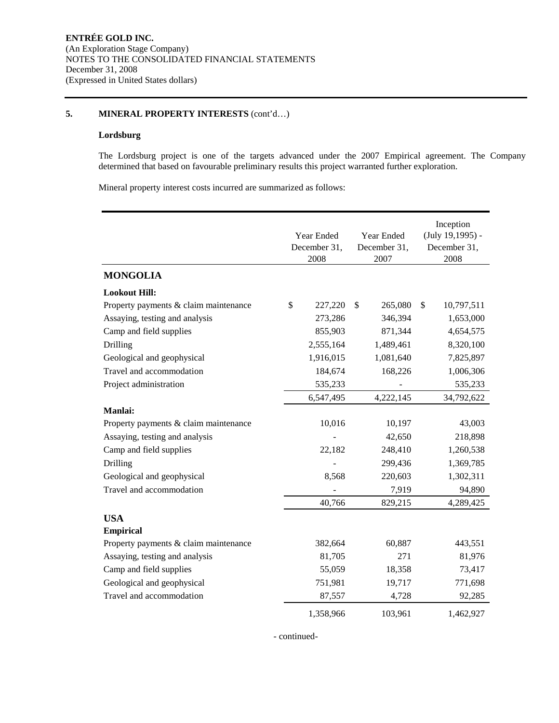# **5. MINERAL PROPERTY INTERESTS** (cont'd…)

## **Lordsburg**

The Lordsburg project is one of the targets advanced under the 2007 Empirical agreement. The Company determined that based on favourable preliminary results this project warranted further exploration.

Mineral property interest costs incurred are summarized as follows:

|                                       | Year Ended<br>Year Ended<br>December 31,<br>December 31,<br>2008<br>2007 |           |    | Inception<br>(July 19,1995) -<br>December 31,<br>2008 |                  |
|---------------------------------------|--------------------------------------------------------------------------|-----------|----|-------------------------------------------------------|------------------|
| <b>MONGOLIA</b>                       |                                                                          |           |    |                                                       |                  |
| <b>Lookout Hill:</b>                  |                                                                          |           |    |                                                       |                  |
| Property payments & claim maintenance | \$                                                                       | 227,220   | \$ | 265,080                                               | \$<br>10,797,511 |
| Assaying, testing and analysis        |                                                                          | 273,286   |    | 346,394                                               | 1,653,000        |
| Camp and field supplies               |                                                                          | 855,903   |    | 871,344                                               | 4,654,575        |
| Drilling                              |                                                                          | 2,555,164 |    | 1,489,461                                             | 8,320,100        |
| Geological and geophysical            |                                                                          | 1,916,015 |    | 1,081,640                                             | 7,825,897        |
| Travel and accommodation              |                                                                          | 184,674   |    | 168,226                                               | 1,006,306        |
| Project administration                |                                                                          | 535,233   |    |                                                       | 535,233          |
|                                       |                                                                          | 6,547,495 |    | 4,222,145                                             | 34,792,622       |
| Manlai:                               |                                                                          |           |    |                                                       |                  |
| Property payments & claim maintenance |                                                                          | 10,016    |    | 10,197                                                | 43,003           |
| Assaying, testing and analysis        |                                                                          |           |    | 42,650                                                | 218,898          |
| Camp and field supplies               |                                                                          | 22,182    |    | 248,410                                               | 1,260,538        |
| Drilling                              |                                                                          |           |    | 299,436                                               | 1,369,785        |
| Geological and geophysical            |                                                                          | 8,568     |    | 220,603                                               | 1,302,311        |
| Travel and accommodation              |                                                                          |           |    | 7,919                                                 | 94,890           |
|                                       |                                                                          | 40,766    |    | 829,215                                               | 4,289,425        |
| <b>USA</b>                            |                                                                          |           |    |                                                       |                  |
| <b>Empirical</b>                      |                                                                          |           |    |                                                       |                  |
| Property payments & claim maintenance |                                                                          | 382,664   |    | 60,887                                                | 443,551          |
| Assaying, testing and analysis        |                                                                          | 81,705    |    | 271                                                   | 81,976           |
| Camp and field supplies               |                                                                          | 55,059    |    | 18,358                                                | 73,417           |
| Geological and geophysical            |                                                                          | 751,981   |    | 19,717                                                | 771,698          |
| Travel and accommodation              |                                                                          | 87,557    |    | 4,728                                                 | 92,285           |
|                                       |                                                                          | 1,358,966 |    | 103,961                                               | 1,462,927        |

- continued-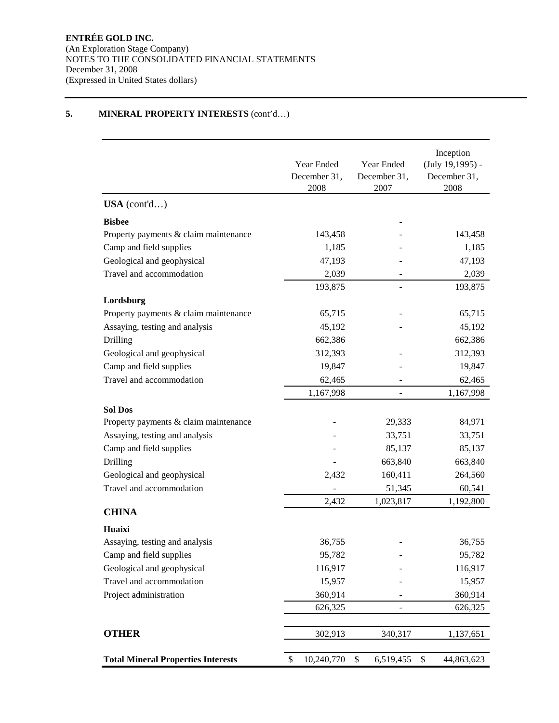# **5. MINERAL PROPERTY INTERESTS** (cont'd…)

|                                           | Year Ended<br>December 31,<br>2008 | Year Ended<br>December 31,<br>2007 | Inception<br>$(July 19, 1995) -$<br>December 31,<br>2008 |
|-------------------------------------------|------------------------------------|------------------------------------|----------------------------------------------------------|
| USA (cont'd)                              |                                    |                                    |                                                          |
| <b>Bisbee</b>                             |                                    |                                    |                                                          |
| Property payments & claim maintenance     | 143,458                            |                                    | 143,458                                                  |
| Camp and field supplies                   | 1,185                              |                                    | 1,185                                                    |
| Geological and geophysical                | 47,193                             |                                    | 47,193                                                   |
| Travel and accommodation                  | 2,039                              |                                    | 2,039                                                    |
|                                           | 193,875                            | ÷.                                 | 193,875                                                  |
| Lordsburg                                 |                                    |                                    |                                                          |
| Property payments & claim maintenance     | 65,715                             |                                    | 65,715                                                   |
| Assaying, testing and analysis            | 45,192                             |                                    | 45,192                                                   |
| Drilling                                  | 662,386                            |                                    | 662,386                                                  |
| Geological and geophysical                | 312,393                            |                                    | 312,393                                                  |
| Camp and field supplies                   | 19,847                             |                                    | 19,847                                                   |
| Travel and accommodation                  | 62,465                             |                                    | 62,465                                                   |
|                                           | 1,167,998                          | $\blacksquare$                     | 1,167,998                                                |
| <b>Sol Dos</b>                            |                                    |                                    |                                                          |
| Property payments & claim maintenance     |                                    | 29,333                             | 84,971                                                   |
| Assaying, testing and analysis            |                                    | 33,751                             | 33,751                                                   |
| Camp and field supplies                   |                                    | 85,137                             | 85,137                                                   |
| Drilling                                  |                                    | 663,840                            | 663,840                                                  |
| Geological and geophysical                | 2,432                              | 160,411                            | 264,560                                                  |
| Travel and accommodation                  |                                    | 51,345                             | 60,541                                                   |
|                                           | 2,432                              | 1,023,817                          | 1,192,800                                                |
| <b>CHINA</b>                              |                                    |                                    |                                                          |
| Huaixi                                    |                                    |                                    |                                                          |
| Assaying, testing and analysis            | 36,755                             |                                    | 36,755                                                   |
| Camp and field supplies                   | 95,782                             |                                    | 95,782                                                   |
| Geological and geophysical                | 116,917                            |                                    | 116,917                                                  |
| Travel and accommodation                  | 15,957                             |                                    | 15,957                                                   |
| Project administration                    | 360,914                            |                                    | 360,914                                                  |
|                                           | 626,325                            | $\overline{\phantom{0}}$           | 626,325                                                  |
|                                           |                                    |                                    |                                                          |
| <b>OTHER</b>                              | 302,913                            | 340,317                            | 1,137,651                                                |
| <b>Total Mineral Properties Interests</b> | \$<br>10,240,770                   | \$<br>6,519,455                    | \$<br>44,863,623                                         |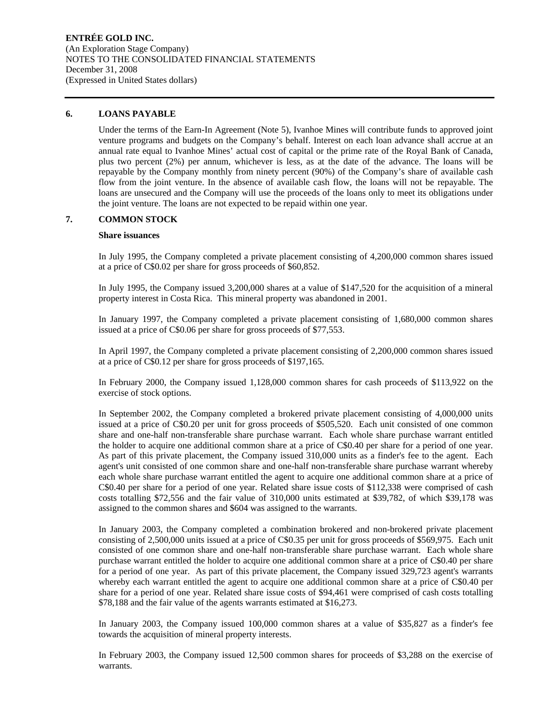#### **6. LOANS PAYABLE**

Under the terms of the Earn-In Agreement (Note 5), Ivanhoe Mines will contribute funds to approved joint venture programs and budgets on the Company's behalf. Interest on each loan advance shall accrue at an annual rate equal to Ivanhoe Mines' actual cost of capital or the prime rate of the Royal Bank of Canada, plus two percent (2%) per annum, whichever is less, as at the date of the advance. The loans will be repayable by the Company monthly from ninety percent (90%) of the Company's share of available cash flow from the joint venture. In the absence of available cash flow, the loans will not be repayable. The loans are unsecured and the Company will use the proceeds of the loans only to meet its obligations under the joint venture. The loans are not expected to be repaid within one year.

#### **7. COMMON STOCK**

### **Share issuances**

In July 1995, the Company completed a private placement consisting of 4,200,000 common shares issued at a price of C\$0.02 per share for gross proceeds of \$60,852.

In July 1995, the Company issued 3,200,000 shares at a value of \$147,520 for the acquisition of a mineral property interest in Costa Rica. This mineral property was abandoned in 2001.

In January 1997, the Company completed a private placement consisting of 1,680,000 common shares issued at a price of C\$0.06 per share for gross proceeds of \$77,553.

In April 1997, the Company completed a private placement consisting of 2,200,000 common shares issued at a price of C\$0.12 per share for gross proceeds of \$197,165.

In February 2000, the Company issued 1,128,000 common shares for cash proceeds of \$113,922 on the exercise of stock options.

In September 2002, the Company completed a brokered private placement consisting of 4,000,000 units issued at a price of C\$0.20 per unit for gross proceeds of \$505,520. Each unit consisted of one common share and one-half non-transferable share purchase warrant. Each whole share purchase warrant entitled the holder to acquire one additional common share at a price of C\$0.40 per share for a period of one year. As part of this private placement, the Company issued 310,000 units as a finder's fee to the agent. Each agent's unit consisted of one common share and one-half non-transferable share purchase warrant whereby each whole share purchase warrant entitled the agent to acquire one additional common share at a price of C\$0.40 per share for a period of one year. Related share issue costs of \$112,338 were comprised of cash costs totalling \$72,556 and the fair value of 310,000 units estimated at \$39,782, of which \$39,178 was assigned to the common shares and \$604 was assigned to the warrants.

In January 2003, the Company completed a combination brokered and non-brokered private placement consisting of 2,500,000 units issued at a price of C\$0.35 per unit for gross proceeds of \$569,975. Each unit consisted of one common share and one-half non-transferable share purchase warrant. Each whole share purchase warrant entitled the holder to acquire one additional common share at a price of C\$0.40 per share for a period of one year. As part of this private placement, the Company issued 329,723 agent's warrants whereby each warrant entitled the agent to acquire one additional common share at a price of C\$0.40 per share for a period of one year. Related share issue costs of \$94,461 were comprised of cash costs totalling \$78,188 and the fair value of the agents warrants estimated at \$16,273.

In January 2003, the Company issued 100,000 common shares at a value of \$35,827 as a finder's fee towards the acquisition of mineral property interests.

In February 2003, the Company issued 12,500 common shares for proceeds of \$3,288 on the exercise of warrants.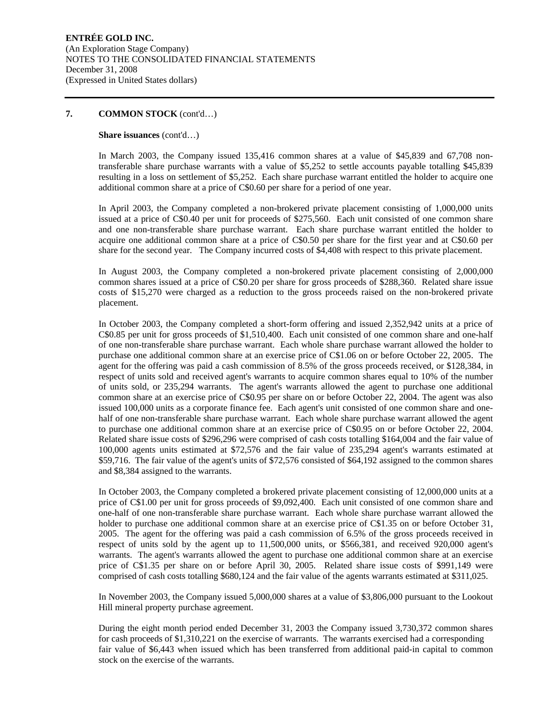#### **Share issuances** (cont'd…)

In March 2003, the Company issued 135,416 common shares at a value of \$45,839 and 67,708 nontransferable share purchase warrants with a value of \$5,252 to settle accounts payable totalling \$45,839 resulting in a loss on settlement of \$5,252. Each share purchase warrant entitled the holder to acquire one additional common share at a price of C\$0.60 per share for a period of one year.

In April 2003, the Company completed a non-brokered private placement consisting of 1,000,000 units issued at a price of C\$0.40 per unit for proceeds of \$275,560. Each unit consisted of one common share and one non-transferable share purchase warrant. Each share purchase warrant entitled the holder to acquire one additional common share at a price of C\$0.50 per share for the first year and at C\$0.60 per share for the second year. The Company incurred costs of \$4,408 with respect to this private placement.

In August 2003, the Company completed a non-brokered private placement consisting of 2,000,000 common shares issued at a price of C\$0.20 per share for gross proceeds of \$288,360. Related share issue costs of \$15,270 were charged as a reduction to the gross proceeds raised on the non-brokered private placement.

In October 2003, the Company completed a short-form offering and issued 2,352,942 units at a price of C\$0.85 per unit for gross proceeds of \$1,510,400. Each unit consisted of one common share and one-half of one non-transferable share purchase warrant. Each whole share purchase warrant allowed the holder to purchase one additional common share at an exercise price of C\$1.06 on or before October 22, 2005. The agent for the offering was paid a cash commission of 8.5% of the gross proceeds received, or \$128,384, in respect of units sold and received agent's warrants to acquire common shares equal to 10% of the number of units sold, or 235,294 warrants. The agent's warrants allowed the agent to purchase one additional common share at an exercise price of C\$0.95 per share on or before October 22, 2004. The agent was also issued 100,000 units as a corporate finance fee. Each agent's unit consisted of one common share and onehalf of one non-transferable share purchase warrant. Each whole share purchase warrant allowed the agent to purchase one additional common share at an exercise price of C\$0.95 on or before October 22, 2004. Related share issue costs of \$296,296 were comprised of cash costs totalling \$164,004 and the fair value of 100,000 agents units estimated at \$72,576 and the fair value of 235,294 agent's warrants estimated at \$59,716. The fair value of the agent's units of \$72,576 consisted of \$64,192 assigned to the common shares and \$8,384 assigned to the warrants.

In October 2003, the Company completed a brokered private placement consisting of 12,000,000 units at a price of C\$1.00 per unit for gross proceeds of \$9,092,400. Each unit consisted of one common share and one-half of one non-transferable share purchase warrant. Each whole share purchase warrant allowed the holder to purchase one additional common share at an exercise price of C\$1.35 on or before October 31, 2005. The agent for the offering was paid a cash commission of 6.5% of the gross proceeds received in respect of units sold by the agent up to 11,500,000 units, or \$566,381, and received 920,000 agent's warrants. The agent's warrants allowed the agent to purchase one additional common share at an exercise price of C\$1.35 per share on or before April 30, 2005. Related share issue costs of \$991,149 were comprised of cash costs totalling \$680,124 and the fair value of the agents warrants estimated at \$311,025.

In November 2003, the Company issued 5,000,000 shares at a value of \$3,806,000 pursuant to the Lookout Hill mineral property purchase agreement.

During the eight month period ended December 31, 2003 the Company issued 3,730,372 common shares for cash proceeds of \$1,310,221 on the exercise of warrants. The warrants exercised had a corresponding fair value of \$6,443 when issued which has been transferred from additional paid-in capital to common stock on the exercise of the warrants.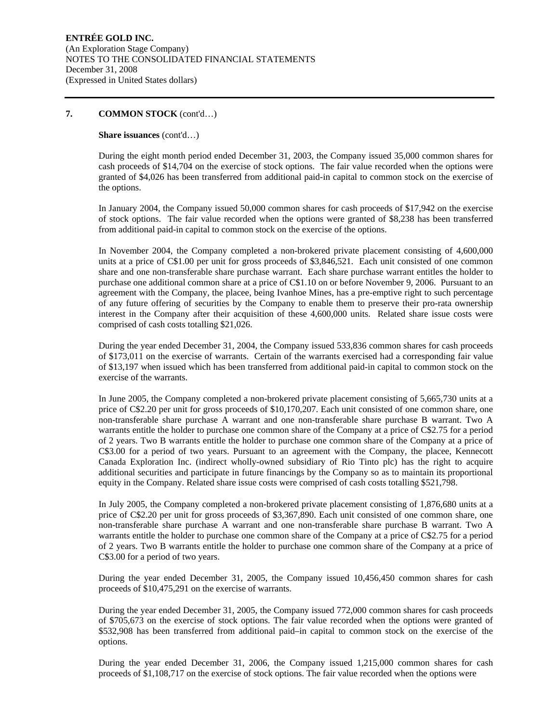#### **Share issuances** (cont'd…)

During the eight month period ended December 31, 2003, the Company issued 35,000 common shares for cash proceeds of \$14,704 on the exercise of stock options. The fair value recorded when the options were granted of \$4,026 has been transferred from additional paid-in capital to common stock on the exercise of the options.

In January 2004, the Company issued 50,000 common shares for cash proceeds of \$17,942 on the exercise of stock options. The fair value recorded when the options were granted of \$8,238 has been transferred from additional paid-in capital to common stock on the exercise of the options.

In November 2004, the Company completed a non-brokered private placement consisting of 4,600,000 units at a price of C\$1.00 per unit for gross proceeds of \$3,846,521. Each unit consisted of one common share and one non-transferable share purchase warrant. Each share purchase warrant entitles the holder to purchase one additional common share at a price of C\$1.10 on or before November 9, 2006. Pursuant to an agreement with the Company, the placee, being Ivanhoe Mines, has a pre-emptive right to such percentage of any future offering of securities by the Company to enable them to preserve their pro-rata ownership interest in the Company after their acquisition of these 4,600,000 units. Related share issue costs were comprised of cash costs totalling \$21,026.

During the year ended December 31, 2004, the Company issued 533,836 common shares for cash proceeds of \$173,011 on the exercise of warrants. Certain of the warrants exercised had a corresponding fair value of \$13,197 when issued which has been transferred from additional paid-in capital to common stock on the exercise of the warrants.

In June 2005, the Company completed a non-brokered private placement consisting of 5,665,730 units at a price of C\$2.20 per unit for gross proceeds of \$10,170,207. Each unit consisted of one common share, one non-transferable share purchase A warrant and one non-transferable share purchase B warrant. Two A warrants entitle the holder to purchase one common share of the Company at a price of C\$2.75 for a period of 2 years. Two B warrants entitle the holder to purchase one common share of the Company at a price of C\$3.00 for a period of two years. Pursuant to an agreement with the Company, the placee, Kennecott Canada Exploration Inc. (indirect wholly-owned subsidiary of Rio Tinto plc) has the right to acquire additional securities and participate in future financings by the Company so as to maintain its proportional equity in the Company. Related share issue costs were comprised of cash costs totalling \$521,798.

In July 2005, the Company completed a non-brokered private placement consisting of 1,876,680 units at a price of C\$2.20 per unit for gross proceeds of \$3,367,890. Each unit consisted of one common share, one non-transferable share purchase A warrant and one non-transferable share purchase B warrant. Two A warrants entitle the holder to purchase one common share of the Company at a price of C\$2.75 for a period of 2 years. Two B warrants entitle the holder to purchase one common share of the Company at a price of C\$3.00 for a period of two years.

During the year ended December 31, 2005, the Company issued 10,456,450 common shares for cash proceeds of \$10,475,291 on the exercise of warrants.

During the year ended December 31, 2005, the Company issued 772,000 common shares for cash proceeds of \$705,673 on the exercise of stock options. The fair value recorded when the options were granted of \$532,908 has been transferred from additional paid–in capital to common stock on the exercise of the options.

During the year ended December 31, 2006, the Company issued 1,215,000 common shares for cash proceeds of \$1,108,717 on the exercise of stock options. The fair value recorded when the options were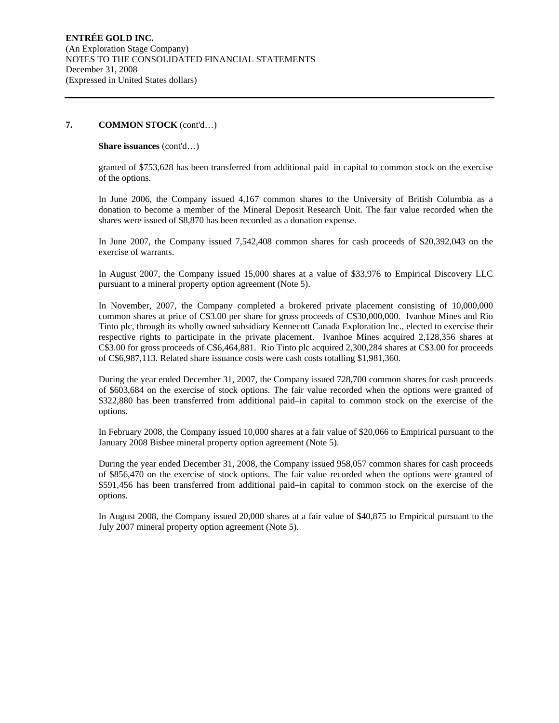#### **Share issuances** (cont'd…)

granted of \$753,628 has been transferred from additional paid–in capital to common stock on the exercise of the options.

In June 2006, the Company issued 4,167 common shares to the University of British Columbia as a donation to become a member of the Mineral Deposit Research Unit. The fair value recorded when the shares were issued of \$8,870 has been recorded as a donation expense.

In June 2007, the Company issued 7,542,408 common shares for cash proceeds of \$20,392,043 on the exercise of warrants.

In August 2007, the Company issued 15,000 shares at a value of \$33,976 to Empirical Discovery LLC pursuant to a mineral property option agreement (Note 5).

In November, 2007, the Company completed a brokered private placement consisting of 10,000,000 common shares at price of C\$3.00 per share for gross proceeds of C\$30,000,000. Ivanhoe Mines and Rio Tinto plc, through its wholly owned subsidiary Kennecott Canada Exploration Inc., elected to exercise their respective rights to participate in the private placement. Ivanhoe Mines acquired 2,128,356 shares at C\$3.00 for gross proceeds of C\$6,464,881. Rio Tinto plc acquired 2,300,284 shares at C\$3.00 for proceeds of C\$6,987,113. Related share issuance costs were cash costs totalling \$1,981,360.

During the year ended December 31, 2007, the Company issued 728,700 common shares for cash proceeds of \$603,684 on the exercise of stock options. The fair value recorded when the options were granted of \$322,880 has been transferred from additional paid–in capital to common stock on the exercise of the options.

In February 2008, the Company issued 10,000 shares at a fair value of \$20,066 to Empirical pursuant to the January 2008 Bisbee mineral property option agreement (Note 5).

During the year ended December 31, 2008, the Company issued 958,057 common shares for cash proceeds of \$856,470 on the exercise of stock options. The fair value recorded when the options were granted of \$591,456 has been transferred from additional paid–in capital to common stock on the exercise of the options.

In August 2008, the Company issued 20,000 shares at a fair value of \$40,875 to Empirical pursuant to the July 2007 mineral property option agreement (Note 5).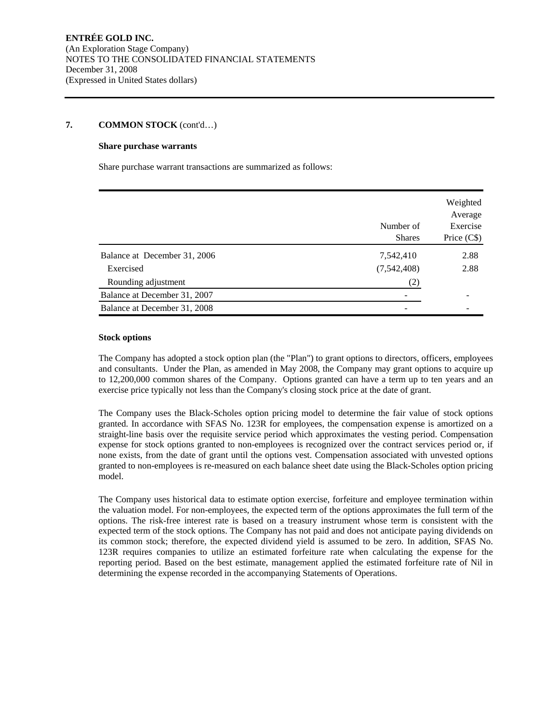#### **Share purchase warrants**

Share purchase warrant transactions are summarized as follows:

|                              | Number of<br><b>Shares</b> | Weighted<br>Average<br>Exercise<br>Price $(C$)$ |
|------------------------------|----------------------------|-------------------------------------------------|
| Balance at December 31, 2006 | 7,542,410                  | 2.88                                            |
| Exercised                    | (7,542,408)                | 2.88                                            |
| Rounding adjustment          | (2)                        |                                                 |
| Balance at December 31, 2007 |                            |                                                 |
| Balance at December 31, 2008 |                            |                                                 |

#### **Stock options**

The Company has adopted a stock option plan (the "Plan") to grant options to directors, officers, employees and consultants. Under the Plan, as amended in May 2008, the Company may grant options to acquire up to 12,200,000 common shares of the Company. Options granted can have a term up to ten years and an exercise price typically not less than the Company's closing stock price at the date of grant.

The Company uses the Black-Scholes option pricing model to determine the fair value of stock options granted. In accordance with SFAS No. 123R for employees, the compensation expense is amortized on a straight-line basis over the requisite service period which approximates the vesting period. Compensation expense for stock options granted to non-employees is recognized over the contract services period or, if none exists, from the date of grant until the options vest. Compensation associated with unvested options granted to non-employees is re-measured on each balance sheet date using the Black-Scholes option pricing model.

The Company uses historical data to estimate option exercise, forfeiture and employee termination within the valuation model. For non-employees, the expected term of the options approximates the full term of the options. The risk-free interest rate is based on a treasury instrument whose term is consistent with the expected term of the stock options. The Company has not paid and does not anticipate paying dividends on its common stock; therefore, the expected dividend yield is assumed to be zero. In addition, SFAS No. 123R requires companies to utilize an estimated forfeiture rate when calculating the expense for the reporting period. Based on the best estimate, management applied the estimated forfeiture rate of Nil in determining the expense recorded in the accompanying Statements of Operations.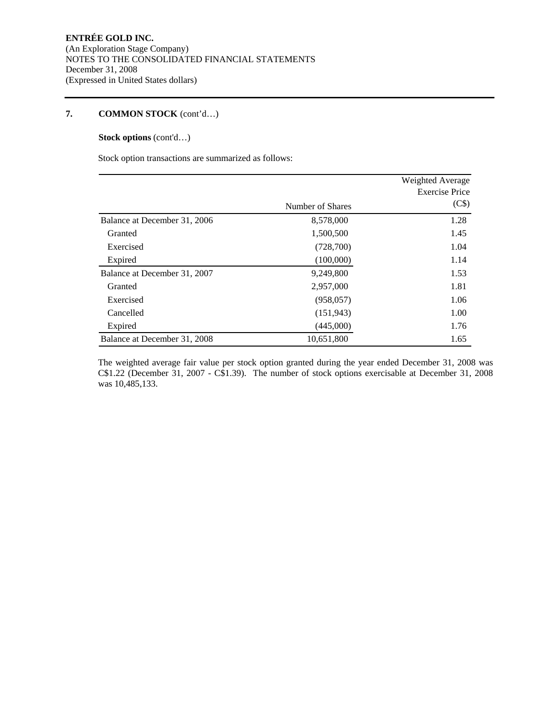#### **Stock options** (cont'd…)

Stock option transactions are summarized as follows:

|                              |                  | Weighted Average      |
|------------------------------|------------------|-----------------------|
|                              |                  | <b>Exercise Price</b> |
|                              | Number of Shares | (C\$)                 |
| Balance at December 31, 2006 | 8,578,000        | 1.28                  |
| Granted                      | 1,500,500        | 1.45                  |
| Exercised                    | (728,700)        | 1.04                  |
| Expired                      | (100,000)        | 1.14                  |
| Balance at December 31, 2007 | 9,249,800        | 1.53                  |
| Granted                      | 2,957,000        | 1.81                  |
| Exercised                    | (958, 057)       | 1.06                  |
| Cancelled                    | (151, 943)       | 1.00                  |
| Expired                      | (445,000)        | 1.76                  |
| Balance at December 31, 2008 | 10,651,800       | 1.65                  |

The weighted average fair value per stock option granted during the year ended December 31, 2008 was C\$1.22 (December 31, 2007 - C\$1.39). The number of stock options exercisable at December 31, 2008 was 10,485,133.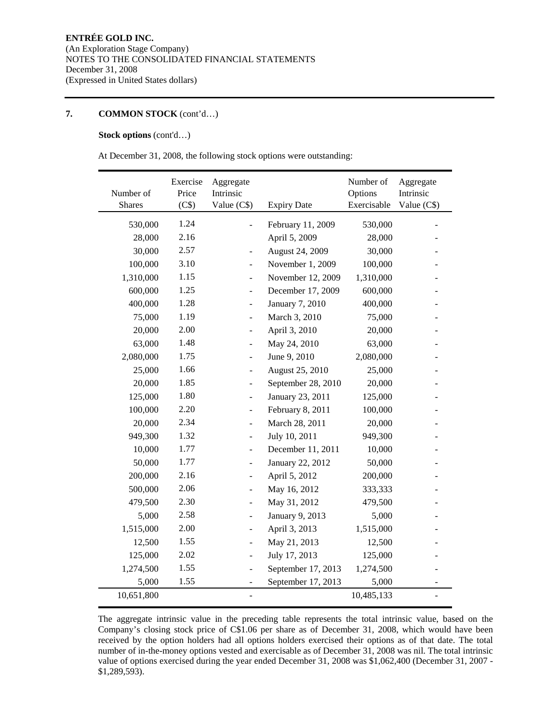#### **Stock options** (cont'd…)

At December 31, 2008, the following stock options were outstanding:

| Number of<br><b>Shares</b> | Exercise<br>Price<br>(C\$) | Aggregate<br>Intrinsic<br>Value (C\$) | <b>Expiry Date</b> | Number of<br>Options<br>Exercisable | Aggregate<br>Intrinsic<br>Value (C\$) |
|----------------------------|----------------------------|---------------------------------------|--------------------|-------------------------------------|---------------------------------------|
| 530,000                    | 1.24                       |                                       | February 11, 2009  | 530,000                             |                                       |
| 28,000                     | 2.16                       |                                       | April 5, 2009      | 28,000                              |                                       |
| 30,000                     | 2.57                       | $\overline{\phantom{a}}$              | August 24, 2009    | 30,000                              |                                       |
| 100,000                    | 3.10                       | $\blacksquare$                        | November 1, 2009   | 100,000                             |                                       |
| 1,310,000                  | 1.15                       | $\overline{\phantom{0}}$              | November 12, 2009  | 1,310,000                           |                                       |
| 600,000                    | 1.25                       | $\overline{\phantom{0}}$              | December 17, 2009  | 600,000                             |                                       |
| 400,000                    | 1.28                       |                                       | January 7, 2010    | 400,000                             |                                       |
| 75,000                     | 1.19                       | $\overline{\phantom{m}}$              | March 3, 2010      | 75,000                              |                                       |
| 20,000                     | 2.00                       | -                                     | April 3, 2010      | 20,000                              |                                       |
| 63,000                     | 1.48                       |                                       | May 24, 2010       | 63,000                              |                                       |
| 2,080,000                  | 1.75                       | $\overline{\phantom{m}}$              | June 9, 2010       | 2,080,000                           |                                       |
| 25,000                     | 1.66                       | -                                     | August 25, 2010    | 25,000                              |                                       |
| 20,000                     | 1.85                       |                                       | September 28, 2010 | 20,000                              |                                       |
| 125,000                    | 1.80                       |                                       | January 23, 2011   | 125,000                             |                                       |
| 100,000                    | 2.20                       | $\overline{\phantom{m}}$              | February 8, 2011   | 100,000                             |                                       |
| 20,000                     | 2.34                       | $\overline{\phantom{m}}$              | March 28, 2011     | 20,000                              |                                       |
| 949,300                    | 1.32                       | $\overline{\phantom{m}}$              | July 10, 2011      | 949,300                             |                                       |
| 10,000                     | 1.77                       | $\overline{\phantom{m}}$              | December 11, 2011  | 10,000                              |                                       |
| 50,000                     | 1.77                       | $\overline{\phantom{a}}$              | January 22, 2012   | 50,000                              |                                       |
| 200,000                    | 2.16                       | $\overline{\phantom{0}}$              | April 5, 2012      | 200,000                             |                                       |
| 500,000                    | 2.06                       | $\blacksquare$                        | May 16, 2012       | 333,333                             |                                       |
| 479,500                    | 2.30                       | $\overline{\phantom{m}}$              | May 31, 2012       | 479,500                             |                                       |
| 5,000                      | 2.58                       | $\overline{\phantom{0}}$              | January 9, 2013    | 5,000                               |                                       |
| 1,515,000                  | 2.00                       | $\overline{\phantom{m}}$              | April 3, 2013      | 1,515,000                           |                                       |
| 12,500                     | 1.55                       | $\overline{\phantom{a}}$              | May 21, 2013       | 12,500                              |                                       |
| 125,000                    | 2.02                       | $\overline{\phantom{a}}$              | July 17, 2013      | 125,000                             |                                       |
| 1,274,500                  | 1.55                       | $\overline{\phantom{a}}$              | September 17, 2013 | 1,274,500                           |                                       |
| 5,000                      | 1.55                       | $\overline{\phantom{0}}$              | September 17, 2013 | 5,000                               |                                       |
| 10,651,800                 |                            |                                       |                    | 10,485,133                          |                                       |

The aggregate intrinsic value in the preceding table represents the total intrinsic value, based on the Company's closing stock price of C\$1.06 per share as of December 31, 2008, which would have been received by the option holders had all options holders exercised their options as of that date. The total number of in-the-money options vested and exercisable as of December 31, 2008 was nil. The total intrinsic value of options exercised during the year ended December 31, 2008 was \$1,062,400 (December 31, 2007 - \$1,289,593).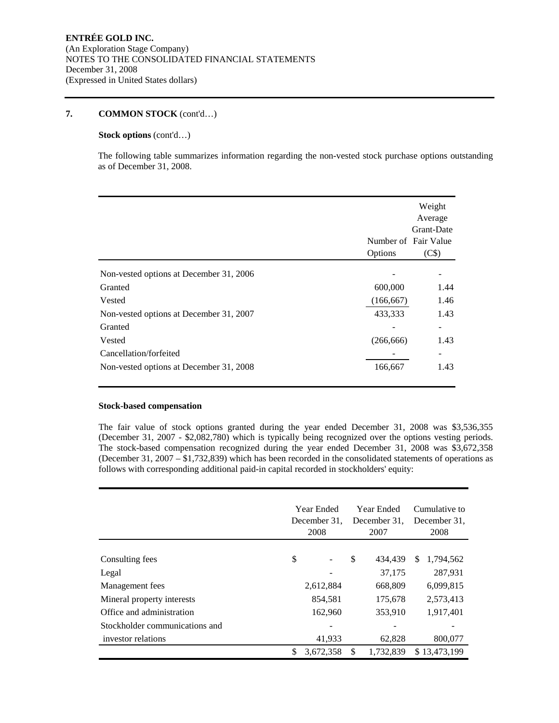#### **Stock options** (cont'd…)

The following table summarizes information regarding the non-vested stock purchase options outstanding as of December 31, 2008.

|                                         | Options    | Weight<br>Average<br>Grant-Date<br>Number of Fair Value<br>(C\$) |
|-----------------------------------------|------------|------------------------------------------------------------------|
| Non-vested options at December 31, 2006 |            |                                                                  |
| Granted                                 | 600,000    | 1.44                                                             |
| Vested                                  | (166, 667) | 1.46                                                             |
| Non-vested options at December 31, 2007 | 433,333    | 1.43                                                             |
| Granted                                 |            |                                                                  |
| Vested                                  | (266, 666) | 1.43                                                             |
| Cancellation/forfeited                  |            |                                                                  |
| Non-vested options at December 31, 2008 | 166,667    | 1.43                                                             |

### **Stock-based compensation**

The fair value of stock options granted during the year ended December 31, 2008 was \$3,536,355 (December 31, 2007 - \$2,082,780) which is typically being recognized over the options vesting periods. The stock-based compensation recognized during the year ended December 31, 2008 was \$3,672,358 (December 31, 2007 – \$1,732,839) which has been recorded in the consolidated statements of operations as follows with corresponding additional paid-in capital recorded in stockholders' equity:

|                                | <b>Year Ended</b><br>December 31,<br>2008 |    | Year Ended<br>December 31.<br>2007 | Cumulative to<br>December 31.<br>2008 |
|--------------------------------|-------------------------------------------|----|------------------------------------|---------------------------------------|
|                                |                                           |    |                                    |                                       |
| Consulting fees                | \$                                        | \$ | 434,439                            | S.<br>1,794,562                       |
| Legal                          |                                           |    | 37,175                             | 287,931                               |
| Management fees                | 2,612,884                                 |    | 668,809                            | 6,099,815                             |
| Mineral property interests     | 854.581                                   |    | 175,678                            | 2,573,413                             |
| Office and administration      | 162,960                                   |    | 353.910                            | 1.917.401                             |
| Stockholder communications and |                                           |    |                                    |                                       |
| investor relations             | 41,933                                    |    | 62,828                             | 800,077                               |
|                                | \$<br>3,672,358                           | S  | 1,732,839                          | \$13,473,199                          |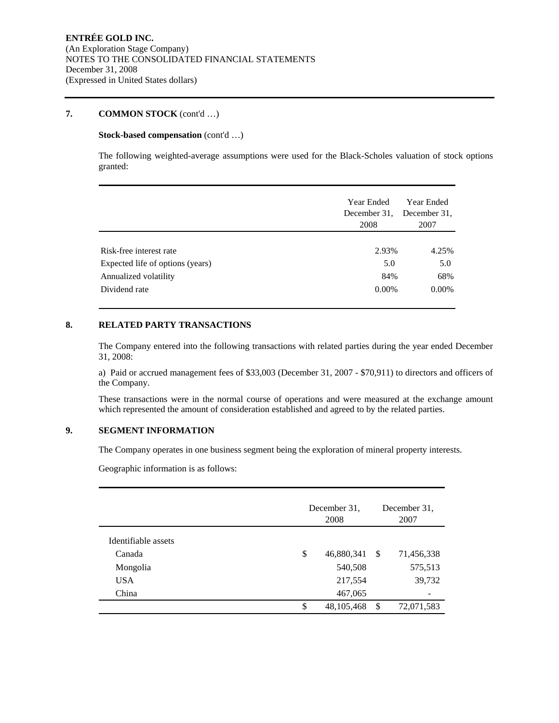#### **Stock-based compensation** (cont'd …)

The following weighted-average assumptions were used for the Black-Scholes valuation of stock options granted:

|                                  | Year Ended<br>December 31.<br>2008 | Year Ended<br>December 31,<br>2007 |
|----------------------------------|------------------------------------|------------------------------------|
| Risk-free interest rate          | 2.93%                              | 4.25%                              |
| Expected life of options (years) | 5.0                                | 5.0                                |
| Annualized volatility            | 84%                                | 68%                                |
| Dividend rate                    | $0.00\%$                           | $0.00\%$                           |

#### **8. RELATED PARTY TRANSACTIONS**

The Company entered into the following transactions with related parties during the year ended December 31, 2008:

a) Paid or accrued management fees of \$33,003 (December 31, 2007 - \$70,911) to directors and officers of the Company.

These transactions were in the normal course of operations and were measured at the exchange amount which represented the amount of consideration established and agreed to by the related parties.

#### **9. SEGMENT INFORMATION**

The Company operates in one business segment being the exploration of mineral property interests.

Geographic information is as follows:

|                     | December 31.<br>2008 |    | December 31,<br>2007 |
|---------------------|----------------------|----|----------------------|
| Identifiable assets |                      |    |                      |
| Canada              | \$<br>46,880,341     | -S | 71,456,338           |
| Mongolia            | 540,508              |    | 575,513              |
| <b>USA</b>          | 217,554              |    | 39,732               |
| China               | 467,065              |    |                      |
|                     | \$<br>48, 105, 468   | \$ | 72,071,583           |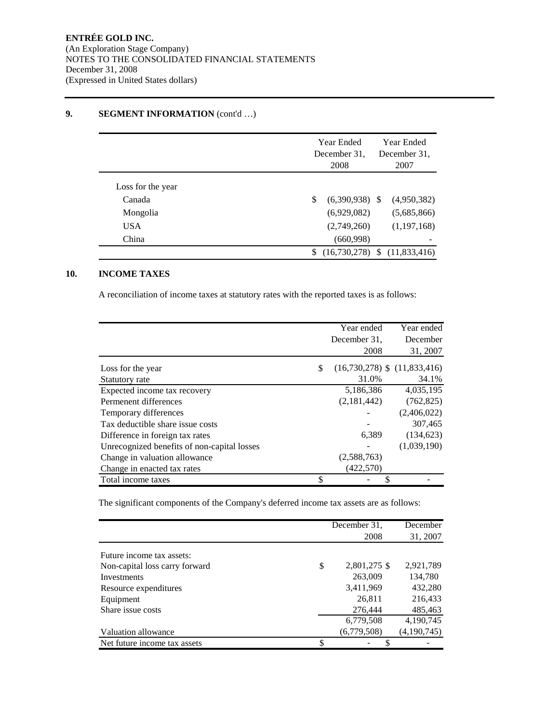# **9. SEGMENT INFORMATION** (cont'd ...)

|                   | Year Ended<br>Year Ended<br>December 31.<br>December 31. |
|-------------------|----------------------------------------------------------|
|                   | 2008<br>2007                                             |
| Loss for the year |                                                          |
| Canada            | $(6,390,938)$ \$<br>\$<br>(4,950,382)                    |
| Mongolia          | (6,929,082)<br>(5,685,866)                               |
| <b>USA</b>        | (1,197,168)<br>(2,749,260)                               |
| China             | (660, 998)                                               |
|                   | (16,730,278)<br>(11,833,416)<br>S<br>\$                  |

### **10. INCOME TAXES**

A reconciliation of income taxes at statutory rates with the reported taxes is as follows:

|                                             |     | Year ended   | Year ended                       |
|---------------------------------------------|-----|--------------|----------------------------------|
|                                             |     | December 31, | December                         |
|                                             |     | 2008         | 31, 2007                         |
| Loss for the year                           | \$. |              | $(16,730,278)$ \$ $(11,833,416)$ |
| Statutory rate                              |     | 31.0%        | 34.1%                            |
| Expected income tax recovery                |     | 5,186,386    | 4,035,195                        |
| Permenent differences                       |     | (2,181,442)  | (762, 825)                       |
| Temporary differences                       |     |              | (2,406,022)                      |
| Tax deductible share issue costs            |     |              | 307,465                          |
| Difference in foreign tax rates             |     | 6,389        | (134, 623)                       |
| Unrecognized benefits of non-capital losses |     |              | (1,039,190)                      |
| Change in valuation allowance               |     | (2,588,763)  |                                  |
| Change in enacted tax rates                 |     | (422,570)    |                                  |
| Total income taxes                          | \$  |              |                                  |

The significant components of the Company's deferred income tax assets are as follows:

|                                | December 31,<br>2008 | December<br>31, 2007 |
|--------------------------------|----------------------|----------------------|
| Future income tax assets:      |                      |                      |
| Non-capital loss carry forward | \$<br>2,801,275 \$   | 2,921,789            |
| Investments                    | 263,009              | 134,780              |
| Resource expenditures          | 3,411,969            | 432,280              |
| Equipment                      | 26,811               | 216,433              |
| Share issue costs              | 276,444              | 485,463              |
|                                | 6,779,508            | 4,190,745            |
| Valuation allowance            | (6,779,508)          | (4,190,745)          |
| Net future income tax assets   | \$                   |                      |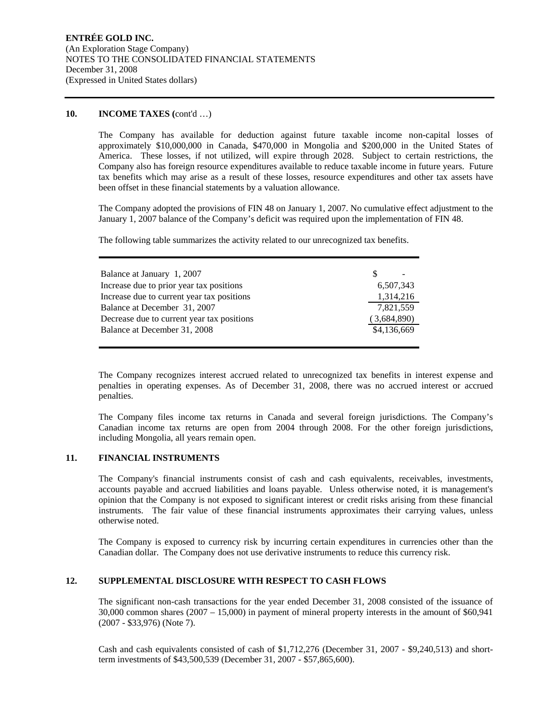#### **10. INCOME TAXES (**cont'd …)

The Company has available for deduction against future taxable income non-capital losses of approximately \$10,000,000 in Canada, \$470,000 in Mongolia and \$200,000 in the United States of America. These losses, if not utilized, will expire through 2028. Subject to certain restrictions, the Company also has foreign resource expenditures available to reduce taxable income in future years. Future tax benefits which may arise as a result of these losses, resource expenditures and other tax assets have been offset in these financial statements by a valuation allowance.

The Company adopted the provisions of FIN 48 on January 1, 2007. No cumulative effect adjustment to the January 1, 2007 balance of the Company's deficit was required upon the implementation of FIN 48.

The following table summarizes the activity related to our unrecognized tax benefits.

| Balance at January 1, 2007                 |             |
|--------------------------------------------|-------------|
| Increase due to prior year tax positions   | 6,507,343   |
| Increase due to current year tax positions | 1,314,216   |
| Balance at December 31, 2007               | 7,821,559   |
| Decrease due to current year tax positions | (3,684,890) |
| Balance at December 31, 2008               | \$4,136,669 |
|                                            |             |

The Company recognizes interest accrued related to unrecognized tax benefits in interest expense and penalties in operating expenses. As of December 31, 2008, there was no accrued interest or accrued penalties.

The Company files income tax returns in Canada and several foreign jurisdictions. The Company's Canadian income tax returns are open from 2004 through 2008. For the other foreign jurisdictions, including Mongolia, all years remain open.

#### **11. FINANCIAL INSTRUMENTS**

The Company's financial instruments consist of cash and cash equivalents, receivables, investments, accounts payable and accrued liabilities and loans payable. Unless otherwise noted, it is management's opinion that the Company is not exposed to significant interest or credit risks arising from these financial instruments. The fair value of these financial instruments approximates their carrying values, unless otherwise noted.

The Company is exposed to currency risk by incurring certain expenditures in currencies other than the Canadian dollar. The Company does not use derivative instruments to reduce this currency risk.

#### **12. SUPPLEMENTAL DISCLOSURE WITH RESPECT TO CASH FLOWS**

The significant non-cash transactions for the year ended December 31, 2008 consisted of the issuance of 30,000 common shares (2007 – 15,000) in payment of mineral property interests in the amount of \$60,941 (2007 - \$33,976) (Note 7).

Cash and cash equivalents consisted of cash of \$1,712,276 (December 31, 2007 - \$9,240,513) and shortterm investments of \$43,500,539 (December 31, 2007 - \$57,865,600).